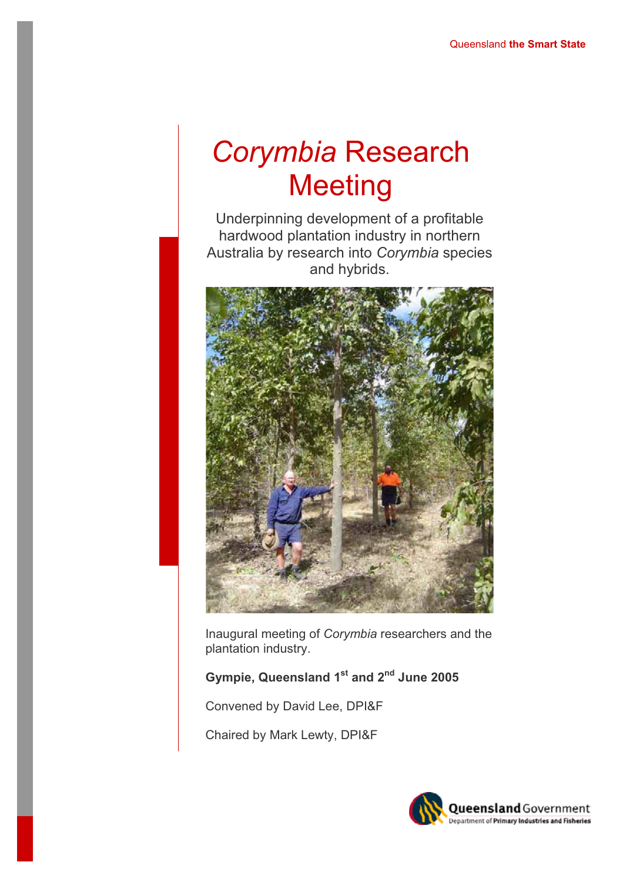# *Corymbia* Research **Meeting**

Underpinning development of a profitable hardwood plantation industry in northern Australia by research into *Corymbia* species and hybrids.



Inaugural meeting of *Corymbia* researchers and the plantation industry.

# **Gympie, Queensland 1st and 2nd June 2005**

Convened by David Lee, DPI&F

Chaired by Mark Lewty, DPI&F

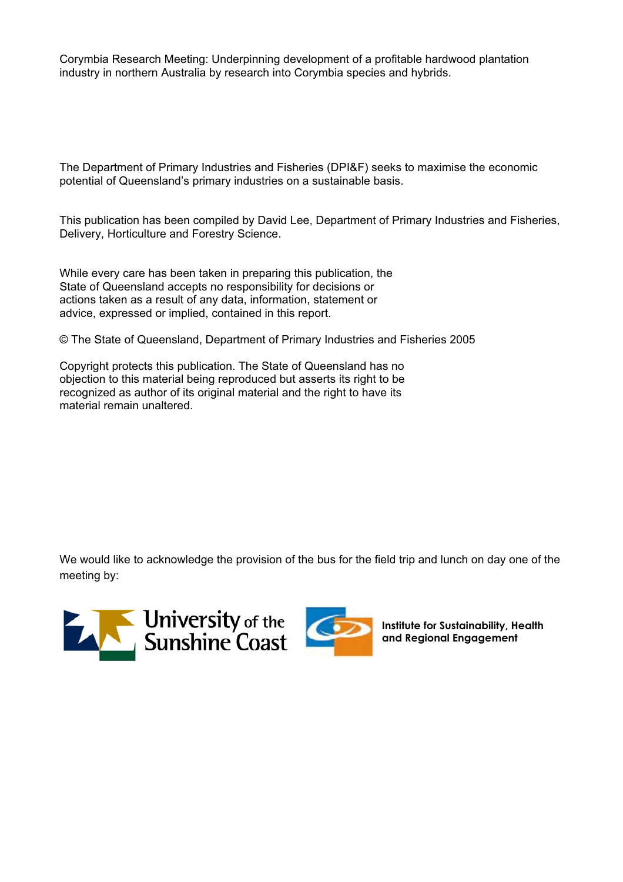Corymbia Research Meeting: Underpinning development of a profitable hardwood plantation industry in northern Australia by research into Corymbia species and hybrids.

The Department of Primary Industries and Fisheries (DPI&F) seeks to maximise the economic potential of Queensland's primary industries on a sustainable basis.

This publication has been compiled by David Lee, Department of Primary Industries and Fisheries, Delivery, Horticulture and Forestry Science.

While every care has been taken in preparing this publication, the State of Queensland accepts no responsibility for decisions or actions taken as a result of any data, information, statement or advice, expressed or implied, contained in this report.

© The State of Queensland, Department of Primary Industries and Fisheries 2005

Copyright protects this publication. The State of Queensland has no objection to this material being reproduced but asserts its right to be recognized as author of its original material and the right to have its material remain unaltered.

We would like to acknowledge the provision of the bus for the field trip and lunch on day one of the meeting by:





**Institute for Sustainability, Health and Regional Engagement**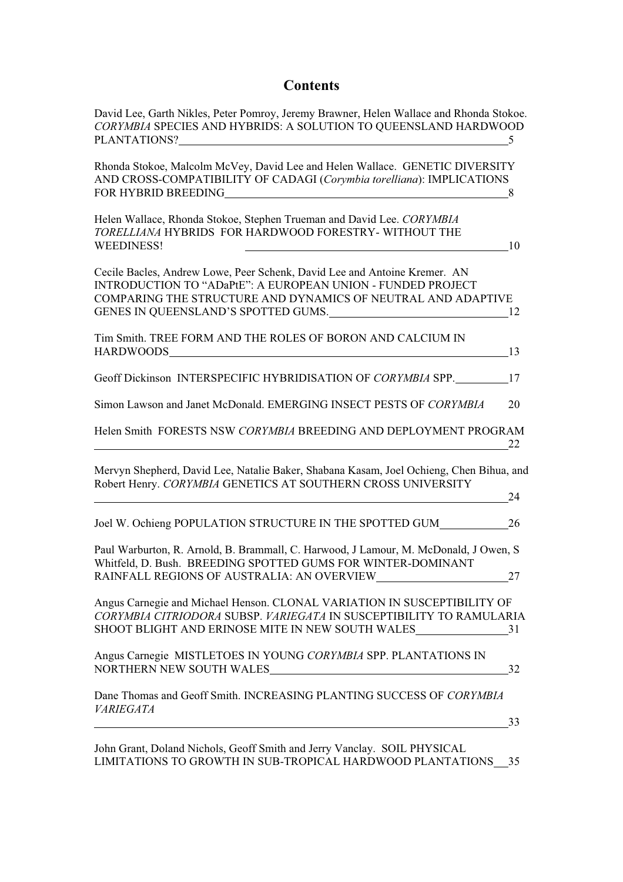## **Contents**

| David Lee, Garth Nikles, Peter Pomroy, Jeremy Brawner, Helen Wallace and Rhonda Stokoe.<br>CORYMBIA SPECIES AND HYBRIDS: A SOLUTION TO QUEENSLAND HARDWOOD                                                                                                                                   | 5  |
|----------------------------------------------------------------------------------------------------------------------------------------------------------------------------------------------------------------------------------------------------------------------------------------------|----|
| Rhonda Stokoe, Malcolm McVey, David Lee and Helen Wallace. GENETIC DIVERSITY<br>AND CROSS-COMPATIBILITY OF CADAGI (Corymbia torelliana): IMPLICATIONS<br>FOR HYBRID BREEDING<br><u> 1989 - Johann Stoff, Amerikaansk politiker (</u>                                                         | 8  |
| Helen Wallace, Rhonda Stokoe, Stephen Trueman and David Lee. CORYMBIA<br>TORELLIANA HYBRIDS FOR HARDWOOD FORESTRY- WITHOUT THE<br><b>WEEDINESS!</b>                                                                                                                                          | 10 |
| Cecile Bacles, Andrew Lowe, Peer Schenk, David Lee and Antoine Kremer. AN<br>INTRODUCTION TO "ADaPtE": A EUROPEAN UNION - FUNDED PROJECT<br>COMPARING THE STRUCTURE AND DYNAMICS OF NEUTRAL AND ADAPTIVE<br>GENES IN QUEENSLAND'S SPOTTED GUMS.                                              | 12 |
| Tim Smith. TREE FORM AND THE ROLES OF BORON AND CALCIUM IN<br>HARDWOODS NARROW CONTROL IN THE SERVICE OF THE SERVICE OF THE SERVICE OF THE SERVICE OF THE SERVICE OF THE SERVICE OF THE SERVICE OF THE SERVICE OF THE SERVICE OF THE SERVICE OF THE SERVICE OF THE SERVICE OF THE SERVICE OF | 13 |
| Geoff Dickinson INTERSPECIFIC HYBRIDISATION OF CORYMBIA SPP.                                                                                                                                                                                                                                 | 17 |
| Simon Lawson and Janet McDonald. EMERGING INSECT PESTS OF CORYMBIA                                                                                                                                                                                                                           | 20 |
| Helen Smith FORESTS NSW CORYMBIA BREEDING AND DEPLOYMENT PROGRAM                                                                                                                                                                                                                             | 22 |
| Mervyn Shepherd, David Lee, Natalie Baker, Shabana Kasam, Joel Ochieng, Chen Bihua, and<br>Robert Henry. CORYMBIA GENETICS AT SOUTHERN CROSS UNIVERSITY                                                                                                                                      | 24 |
| Joel W. Ochieng POPULATION STRUCTURE IN THE SPOTTED GUM                                                                                                                                                                                                                                      | 26 |
| Paul Warburton, R. Arnold, B. Brammall, C. Harwood, J Lamour, M. McDonald, J Owen, S<br>Whitfeld, D. Bush. BREEDING SPOTTED GUMS FOR WINTER-DOMINANT                                                                                                                                         | 27 |
| Angus Carnegie and Michael Henson. CLONAL VARIATION IN SUSCEPTIBILITY OF<br>CORYMBIA CITRIODORA SUBSP. VARIEGATA IN SUSCEPTIBILITY TO RAMULARIA<br>SHOOT BLIGHT AND ERINOSE MITE IN NEW SOUTH WALES 31                                                                                       |    |
| Angus Carnegie MISTLETOES IN YOUNG CORYMBIA SPP. PLANTATIONS IN<br>NORTHERN NEW SOUTH WALES<br><u> 1989 - Johann Stoff, fransk politik (d. 1989)</u>                                                                                                                                         | 32 |
| Dane Thomas and Geoff Smith. INCREASING PLANTING SUCCESS OF CORYMBIA<br><b>VARIEGATA</b>                                                                                                                                                                                                     |    |
|                                                                                                                                                                                                                                                                                              | 33 |
| John Grant, Doland Nichols, Geoff Smith and Jerry Vanclay. SOIL PHYSICAL                                                                                                                                                                                                                     |    |

LIMITATIONS TO GROWTH IN SUB-TROPICAL HARDWOOD PLANTATIONS\_\_35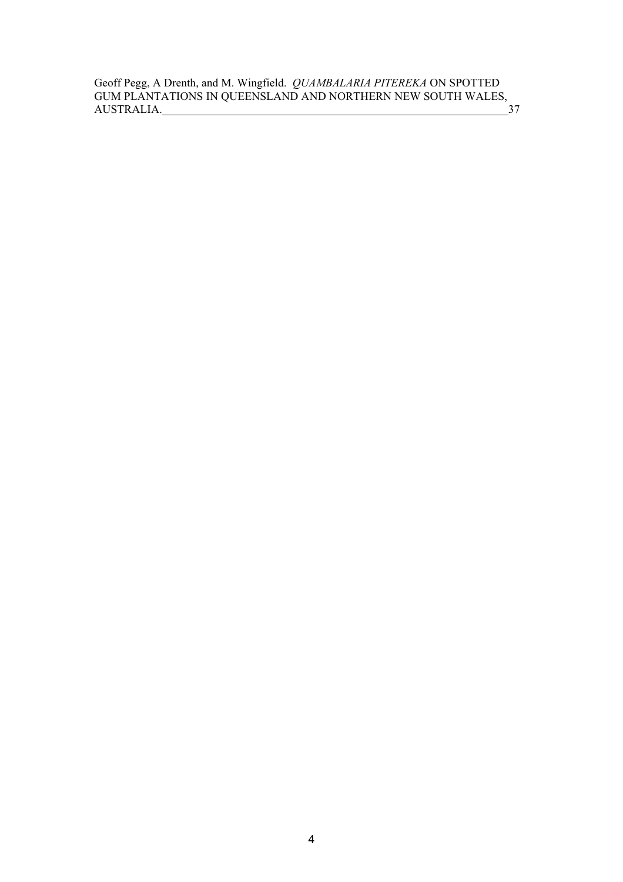Geoff Pegg, A Drenth, and M. Wingfield. *QUAMBALARIA PITEREKA* ON SPOTTED GUM PLANTATIONS IN QUEENSLAND AND NORTHERN NEW SOUTH WALES, AUSTRALIA. 37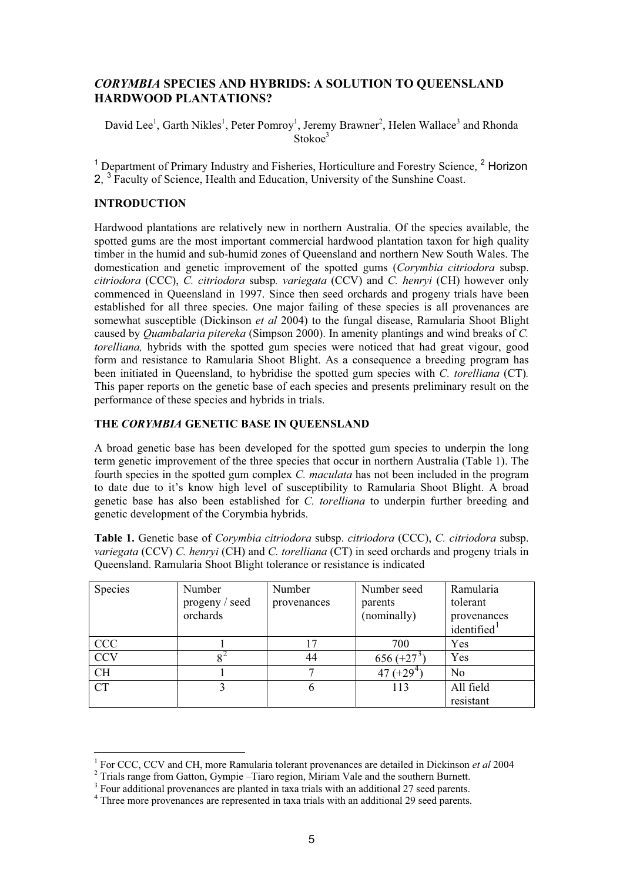## *CORYMBIA* **SPECIES AND HYBRIDS: A SOLUTION TO QUEENSLAND HARDWOOD PLANTATIONS?**

David Lee<sup>1</sup>, Garth Nikles<sup>1</sup>, Peter Pomroy<sup>1</sup>, Jeremy Brawner<sup>2</sup>, Helen Wallace<sup>3</sup> and Rhonda Stokoe<sup>3</sup>

<sup>1</sup> Department of Primary Industry and Fisheries, Horticulture and Forestry Science, <sup>2</sup> Horizon 2, <sup>3</sup> Faculty of Science, Health and Education, University of the Sunshine Coast.

#### **INTRODUCTION**

Hardwood plantations are relatively new in northern Australia. Of the species available, the spotted gums are the most important commercial hardwood plantation taxon for high quality timber in the humid and sub-humid zones of Queensland and northern New South Wales. The domestication and genetic improvement of the spotted gums (*Corymbia citriodora* subsp. *citriodora* (CCC), *C. citriodora* subsp*. variegata* (CCV) and *C. henryi* (CH) however only commenced in Queensland in 1997. Since then seed orchards and progeny trials have been established for all three species. One major failing of these species is all provenances are somewhat susceptible (Dickinson *et al* 2004) to the fungal disease, Ramularia Shoot Blight caused by *Quambalaria pitereka* (Simpson 2000). In amenity plantings and wind breaks of *C. torelliana,* hybrids with the spotted gum species were noticed that had great vigour, good form and resistance to Ramularia Shoot Blight. As a consequence a breeding program has been initiated in Queensland, to hybridise the spotted gum species with *C. torelliana* (CT)*.* This paper reports on the genetic base of each species and presents preliminary result on the performance of these species and hybrids in trials.

#### **THE** *CORYMBIA* **GENETIC BASE IN QUEENSLAND**

A broad genetic base has been developed for the spotted gum species to underpin the long term genetic improvement of the three species that occur in northern Australia (Table 1). The fourth species in the spotted gum complex *C. maculata* has not been included in the program to date due to it's know high level of susceptibility to Ramularia Shoot Blight. A broad genetic base has also been established for *C. torelliana* to underpin further breeding and genetic development of the Corymbia hybrids.

**Table 1.** Genetic base of *Corymbia citriodora* subsp. *citriodora* (CCC), *C. citriodora* subsp. *variegata* (CCV) *C. henryi* (CH) and *C. torelliana* (CT) in seed orchards and progeny trials in Queensland. Ramularia Shoot Blight tolerance or resistance is indicated

| Species    | Number<br>progeny / seed | Number<br>provenances | Number seed<br>parents | Ramularia<br>tolerant   |
|------------|--------------------------|-----------------------|------------------------|-------------------------|
|            | orchards                 |                       | (nominally)            | provenances             |
|            |                          |                       |                        | identified <sup>1</sup> |
| <b>CCC</b> |                          | 17                    | 700                    | Yes                     |
| <b>CCV</b> | 84                       | 44                    | $656 (+27^3)$          | Yes                     |
| <b>CH</b>  |                          |                       | 47 $(+29^{4}$          | No                      |
| <b>CT</b>  |                          | 6                     | 113                    | All field               |
|            |                          |                       |                        | resistant               |

<sup>&</sup>lt;sup>1</sup> For CCC, CCV and CH, more Ramularia tolerant provenances are detailed in Dickinson *et al* 2004

<sup>&</sup>lt;sup>2</sup> Trials range from Gatton, Gympie –Tiaro region, Miriam Vale and the southern Burnett.

<sup>&</sup>lt;sup>3</sup> Four additional provenances are planted in taxa trials with an additional 27 seed parents.

<sup>&</sup>lt;sup>4</sup> Three more provenances are represented in taxa trials with an additional 29 seed parents.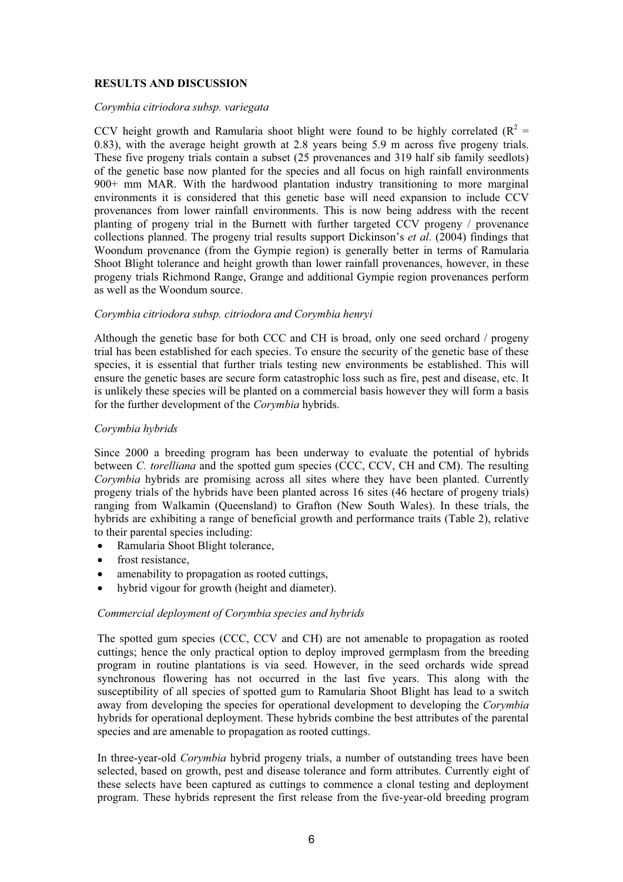### **RESULTS AND DISCUSSION**

#### *Corymbia citriodora subsp. variegata*

CCV height growth and Ramularia shoot blight were found to be highly correlated  $(R^2 =$ 0.83), with the average height growth at 2.8 years being 5.9 m across five progeny trials. These five progeny trials contain a subset (25 provenances and 319 half sib family seedlots) of the genetic base now planted for the species and all focus on high rainfall environments 900+ mm MAR. With the hardwood plantation industry transitioning to more marginal environments it is considered that this genetic base will need expansion to include CCV provenances from lower rainfall environments. This is now being address with the recent planting of progeny trial in the Burnett with further targeted CCV progeny / provenance collections planned. The progeny trial results support Dickinson's *et al*. (2004) findings that Woondum provenance (from the Gympie region) is generally better in terms of Ramularia Shoot Blight tolerance and height growth than lower rainfall provenances, however, in these progeny trials Richmond Range, Grange and additional Gympie region provenances perform as well as the Woondum source.

#### *Corymbia citriodora subsp. citriodora and Corymbia henryi*

Although the genetic base for both CCC and CH is broad, only one seed orchard / progeny trial has been established for each species. To ensure the security of the genetic base of these species, it is essential that further trials testing new environments be established. This will ensure the genetic bases are secure form catastrophic loss such as fire, pest and disease, etc. It is unlikely these species will be planted on a commercial basis however they will form a basis for the further development of the *Corymbia* hybrids.

#### *Corymbia hybrids*

Since 2000 a breeding program has been underway to evaluate the potential of hybrids between *C. torelliana* and the spotted gum species (CCC, CCV, CH and CM). The resulting *Corymbia* hybrids are promising across all sites where they have been planted. Currently progeny trials of the hybrids have been planted across 16 sites (46 hectare of progeny trials) ranging from Walkamin (Queensland) to Grafton (New South Wales). In these trials, the hybrids are exhibiting a range of beneficial growth and performance traits (Table 2), relative to their parental species including:

- Ramularia Shoot Blight tolerance,
- $\bullet$  frost resistance.
- amenability to propagation as rooted cuttings,
- hybrid vigour for growth (height and diameter).

#### *Commercial deployment of Corymbia species and hybrids*

The spotted gum species (CCC, CCV and CH) are not amenable to propagation as rooted cuttings; hence the only practical option to deploy improved germplasm from the breeding program in routine plantations is via seed. However, in the seed orchards wide spread synchronous flowering has not occurred in the last five years. This along with the susceptibility of all species of spotted gum to Ramularia Shoot Blight has lead to a switch away from developing the species for operational development to developing the *Corymbia* hybrids for operational deployment. These hybrids combine the best attributes of the parental species and are amenable to propagation as rooted cuttings.

In three-year-old *Corymbia* hybrid progeny trials, a number of outstanding trees have been selected, based on growth, pest and disease tolerance and form attributes. Currently eight of these selects have been captured as cuttings to commence a clonal testing and deployment program. These hybrids represent the first release from the five-year-old breeding program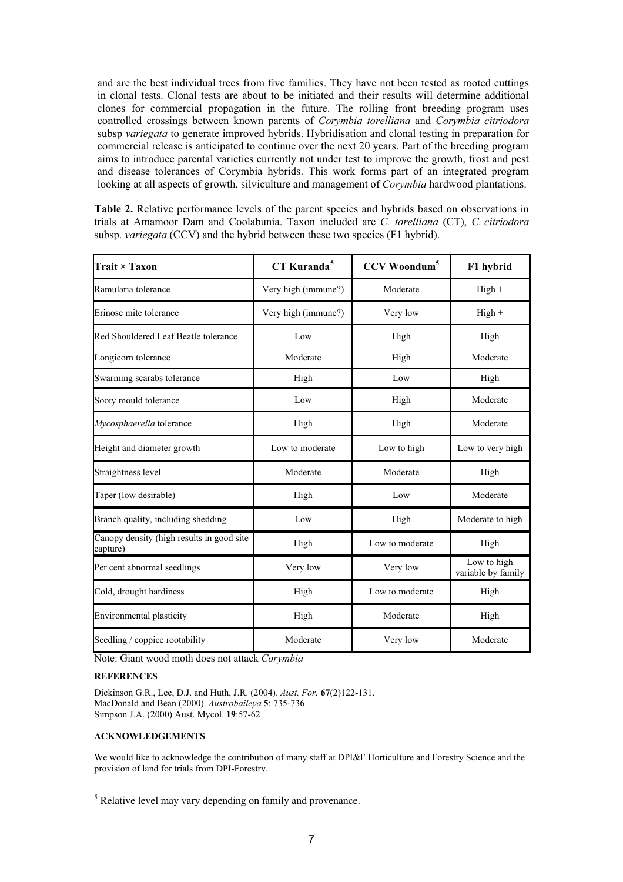and are the best individual trees from five families. They have not been tested as rooted cuttings in clonal tests. Clonal tests are about to be initiated and their results will determine additional clones for commercial propagation in the future. The rolling front breeding program uses controlled crossings between known parents of *Corymbia torelliana* and *Corymbia citriodora* subsp *variegata* to generate improved hybrids. Hybridisation and clonal testing in preparation for commercial release is anticipated to continue over the next 20 years. Part of the breeding program aims to introduce parental varieties currently not under test to improve the growth, frost and pest and disease tolerances of Corymbia hybrids. This work forms part of an integrated program looking at all aspects of growth, silviculture and management of *Corymbia* hardwood plantations.

**Table 2.** Relative performance levels of the parent species and hybrids based on observations in trials at Amamoor Dam and Coolabunia. Taxon included are *C. torelliana* (CT), *C. citriodora* subsp. *variegata* (CCV) and the hybrid between these two species (F1 hybrid).

| Trait × Taxon                                         | CT Kuranda <sup>5</sup> | <b>CCV</b> Woondum <sup>5</sup> | F1 hybrid                         |
|-------------------------------------------------------|-------------------------|---------------------------------|-----------------------------------|
| Ramularia tolerance                                   | Very high (immune?)     | Moderate                        | $High +$                          |
| Erinose mite tolerance                                | Very high (immune?)     | Very low                        | $High +$                          |
| Red Shouldered Leaf Beatle tolerance                  | Low                     | High                            | High                              |
| Longicorn tolerance                                   | Moderate                | High                            | Moderate                          |
| Swarming scarabs tolerance                            | High                    | Low                             | High                              |
| Sooty mould tolerance                                 | Low                     | High                            | Moderate                          |
| Mycosphaerella tolerance                              | High                    | High                            | Moderate                          |
| Height and diameter growth                            | Low to moderate         | Low to high                     | Low to very high                  |
| Straightness level                                    | Moderate                | Moderate                        | High                              |
| Taper (low desirable)                                 | High                    | Low                             | Moderate                          |
| Branch quality, including shedding                    | Low                     | High                            | Moderate to high                  |
| Canopy density (high results in good site<br>capture) | High                    | Low to moderate                 | High                              |
| Per cent abnormal seedlings                           | Very low                | Very low                        | Low to high<br>variable by family |
| Cold, drought hardiness                               | High                    | Low to moderate                 | High                              |
| Environmental plasticity                              | High                    | Moderate                        | High                              |
| Seedling / coppice rootability                        | Moderate                | Very low                        | Moderate                          |

Note: Giant wood moth does not attack *Corymbia*

#### **REFERENCES**

Dickinson G.R., Lee, D.J. and Huth, J.R. (2004). *Aust. For.* **67**(2)122-131. MacDonald and Bean (2000). *Austrobaileya* **5**: 735-736 Simpson J.A. (2000) Aust. Mycol. **19**:57-62

#### **ACKNOWLEDGEMENTS**

We would like to acknowledge the contribution of many staff at DPI&F Horticulture and Forestry Science and the provision of land for trials from DPI-Forestry.

<sup>&</sup>lt;sup>5</sup> Relative level may vary depending on family and provenance.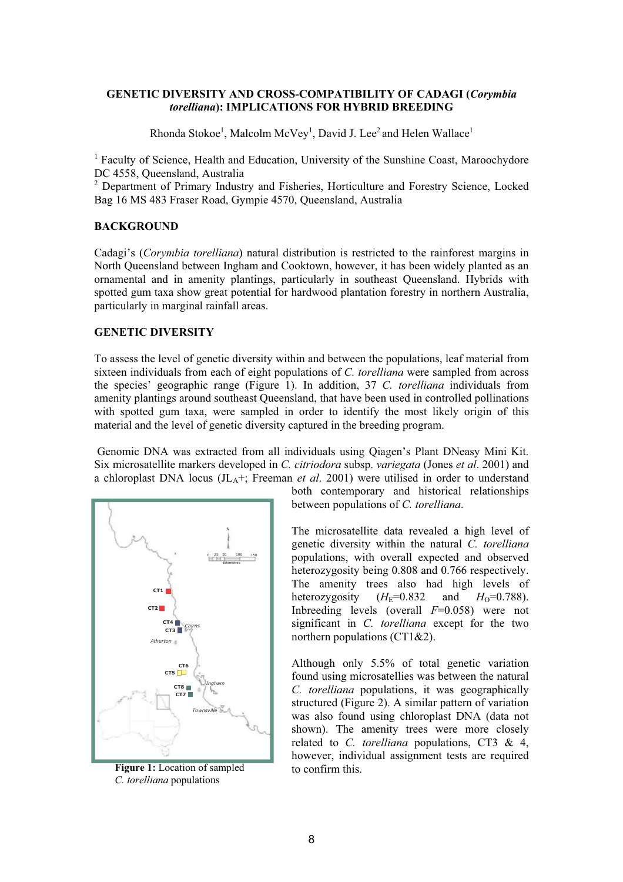#### **GENETIC DIVERSITY AND CROSS-COMPATIBILITY OF CADAGI (***Corymbia torelliana***): IMPLICATIONS FOR HYBRID BREEDING**

Rhonda Stokoe<sup>1</sup>, Malcolm McVey<sup>1</sup>, David J. Lee<sup>2</sup> and Helen Wallace<sup>1</sup>

<sup>1</sup> Faculty of Science, Health and Education, University of the Sunshine Coast, Maroochydore DC 4558, Queensland, Australia

<sup>2</sup> Department of Primary Industry and Fisheries, Horticulture and Forestry Science, Locked Bag 16 MS 483 Fraser Road, Gympie 4570, Queensland, Australia

#### **BACKGROUND**

Cadagi's (*Corymbia torelliana*) natural distribution is restricted to the rainforest margins in North Queensland between Ingham and Cooktown, however, it has been widely planted as an ornamental and in amenity plantings, particularly in southeast Queensland. Hybrids with spotted gum taxa show great potential for hardwood plantation forestry in northern Australia, particularly in marginal rainfall areas.

#### **GENETIC DIVERSITY**

To assess the level of genetic diversity within and between the populations, leaf material from sixteen individuals from each of eight populations of *C. torelliana* were sampled from across the species' geographic range (Figure 1). In addition, 37 *C. torelliana* individuals from amenity plantings around southeast Queensland, that have been used in controlled pollinations with spotted gum taxa, were sampled in order to identify the most likely origin of this material and the level of genetic diversity captured in the breeding program.

 Genomic DNA was extracted from all individuals using Qiagen's Plant DNeasy Mini Kit. Six microsatellite markers developed in *C. citriodora* subsp. *variegata* (Jones *et al*. 2001) and a chloroplast DNA locus  $J_{\text{L}_4+}$ ; Freeman *et al.* 2001) were utilised in order to understand



**Figure 1:** Location of sampled to confirm this. *C. torelliana* populations

both contemporary and historical relationships between populations of *C. torelliana*.

The microsatellite data revealed a high level of genetic diversity within the natural *C. torelliana* populations, with overall expected and observed heterozygosity being 0.808 and 0.766 respectively. The amenity trees also had high levels of heterozygosity  $(H_F=0.832$  and  $H_O=0.788$ ). Inbreeding levels (overall *F*=0.058) were not significant in *C. torelliana* except for the two northern populations (CT1&2).

Although only 5.5% of total genetic variation found using microsatellies was between the natural *C. torelliana* populations, it was geographically structured (Figure 2). A similar pattern of variation was also found using chloroplast DNA (data not shown). The amenity trees were more closely related to *C. torelliana* populations, CT3 & 4, however, individual assignment tests are required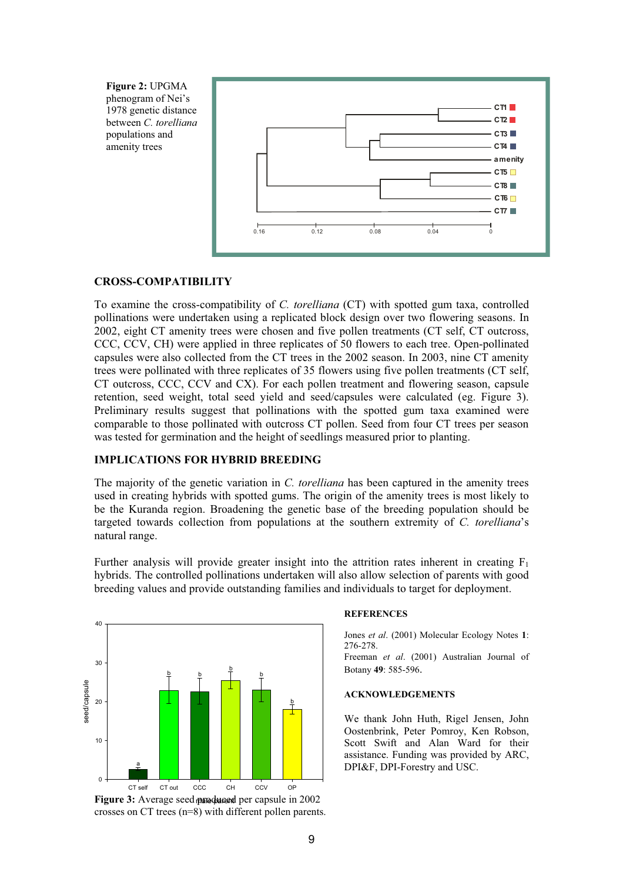

#### **CROSS-COMPATIBILITY**

To examine the cross-compatibility of *C. torelliana* (CT) with spotted gum taxa, controlled pollinations were undertaken using a replicated block design over two flowering seasons. In 2002, eight CT amenity trees were chosen and five pollen treatments (CT self, CT outcross, CCC, CCV, CH) were applied in three replicates of 50 flowers to each tree. Open-pollinated capsules were also collected from the CT trees in the 2002 season. In 2003, nine CT amenity trees were pollinated with three replicates of 35 flowers using five pollen treatments (CT self, CT outcross, CCC, CCV and CX). For each pollen treatment and flowering season, capsule retention, seed weight, total seed yield and seed/capsules were calculated (eg. Figure 3). Preliminary results suggest that pollinations with the spotted gum taxa examined were comparable to those pollinated with outcross CT pollen. Seed from four CT trees per season was tested for germination and the height of seedlings measured prior to planting.

#### **IMPLICATIONS FOR HYBRID BREEDING**

The majority of the genetic variation in *C. torelliana* has been captured in the amenity trees used in creating hybrids with spotted gums. The origin of the amenity trees is most likely to be the Kuranda region. Broadening the genetic base of the breeding population should be targeted towards collection from populations at the southern extremity of *C. torelliana*'s natural range.

Further analysis will provide greater insight into the attrition rates inherent in creating  $F_1$ hybrids. The controlled pollinations undertaken will also allow selection of parents with good breeding values and provide outstanding families and individuals to target for deployment.



Figure 3: Average seed produced per capsule in 2002 crosses on CT trees (n=8) with different pollen parents.

#### **REFERENCES**

Jones *et al*. (2001) Molecular Ecology Notes **1**: 276-278.

Freeman *et al*. (2001) Australian Journal of Botany **49**: 585-596.

#### **ACKNOWLEDGEMENTS**

We thank John Huth, Rigel Jensen, John Oostenbrink, Peter Pomroy, Ken Robson, Scott Swift and Alan Ward for their assistance. Funding was provided by ARC, DPI&F, DPI-Forestry and USC.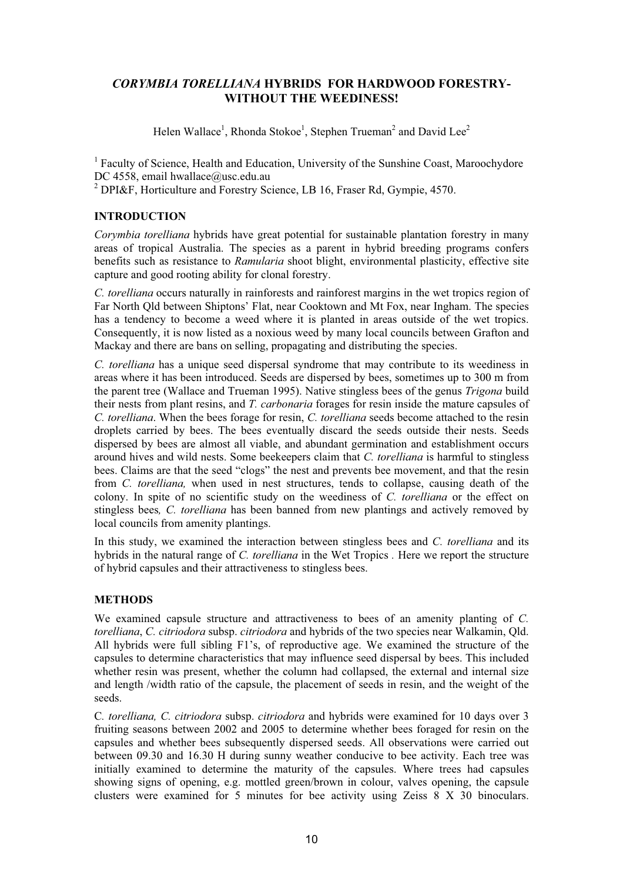## *CORYMBIA TORELLIANA* **HYBRIDS FOR HARDWOOD FORESTRY-WITHOUT THE WEEDINESS!**

Helen Wallace<sup>1</sup>, Rhonda Stokoe<sup>1</sup>, Stephen Trueman<sup>2</sup> and David Lee<sup>2</sup>

<sup>1</sup> Faculty of Science, Health and Education, University of the Sunshine Coast, Maroochydore DC 4558, email hwallace@usc.edu.au

<sup>2</sup> DPI&F, Horticulture and Forestry Science, LB 16, Fraser Rd, Gympie, 4570.

#### **INTRODUCTION**

*Corymbia torelliana* hybrids have great potential for sustainable plantation forestry in many areas of tropical Australia. The species as a parent in hybrid breeding programs confers benefits such as resistance to *Ramularia* shoot blight, environmental plasticity, effective site capture and good rooting ability for clonal forestry.

*C. torelliana* occurs naturally in rainforests and rainforest margins in the wet tropics region of Far North Qld between Shiptons' Flat, near Cooktown and Mt Fox, near Ingham. The species has a tendency to become a weed where it is planted in areas outside of the wet tropics. Consequently, it is now listed as a noxious weed by many local councils between Grafton and Mackay and there are bans on selling, propagating and distributing the species.

*C. torelliana* has a unique seed dispersal syndrome that may contribute to its weediness in areas where it has been introduced. Seeds are dispersed by bees, sometimes up to 300 m from the parent tree (Wallace and Trueman 1995). Native stingless bees of the genus *Trigona* build their nests from plant resins, and *T. carbonaria* forages for resin inside the mature capsules of *C. torelliana*. When the bees forage for resin, *C. torelliana* seeds become attached to the resin droplets carried by bees. The bees eventually discard the seeds outside their nests. Seeds dispersed by bees are almost all viable, and abundant germination and establishment occurs around hives and wild nests. Some beekeepers claim that *C. torelliana* is harmful to stingless bees. Claims are that the seed "clogs" the nest and prevents bee movement, and that the resin from *C. torelliana,* when used in nest structures, tends to collapse, causing death of the colony. In spite of no scientific study on the weediness of *C. torelliana* or the effect on stingless bees*, C. torelliana* has been banned from new plantings and actively removed by local councils from amenity plantings.

In this study, we examined the interaction between stingless bees and *C. torelliana* and its hybrids in the natural range of *C. torelliana* in the Wet Tropics *.* Here we report the structure of hybrid capsules and their attractiveness to stingless bees.

#### **METHODS**

We examined capsule structure and attractiveness to bees of an amenity planting of *C. torelliana*, *C. citriodora* subsp. *citriodora* and hybrids of the two species near Walkamin, Qld. All hybrids were full sibling F1's, of reproductive age. We examined the structure of the capsules to determine characteristics that may influence seed dispersal by bees. This included whether resin was present, whether the column had collapsed, the external and internal size and length /width ratio of the capsule, the placement of seeds in resin, and the weight of the seeds.

C*. torelliana, C. citriodora* subsp. *citriodora* and hybrids were examined for 10 days over 3 fruiting seasons between 2002 and 2005 to determine whether bees foraged for resin on the capsules and whether bees subsequently dispersed seeds. All observations were carried out between 09.30 and 16.30 H during sunny weather conducive to bee activity. Each tree was initially examined to determine the maturity of the capsules. Where trees had capsules showing signs of opening, e.g. mottled green/brown in colour, valves opening, the capsule clusters were examined for 5 minutes for bee activity using Zeiss 8 X 30 binoculars.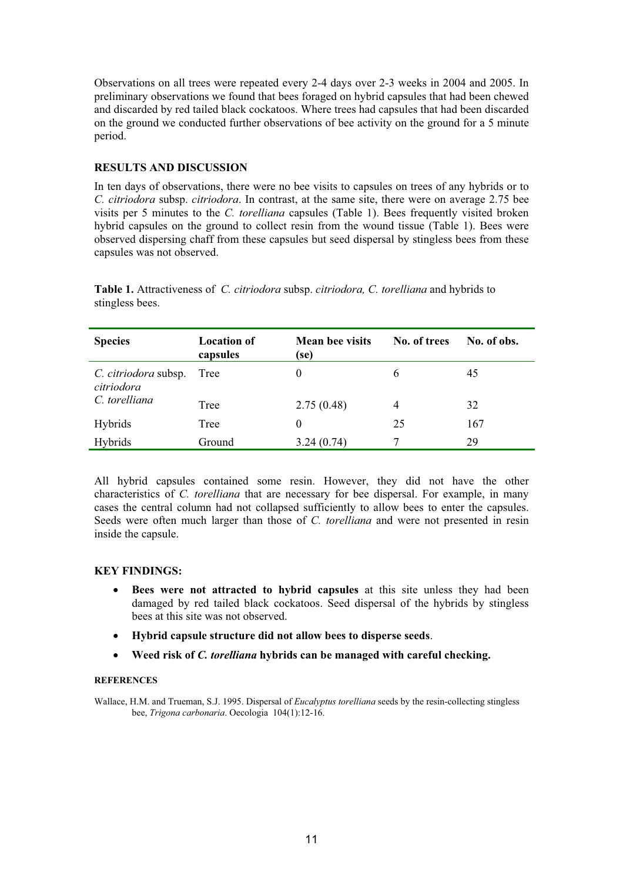Observations on all trees were repeated every 2-4 days over 2-3 weeks in 2004 and 2005. In preliminary observations we found that bees foraged on hybrid capsules that had been chewed and discarded by red tailed black cockatoos. Where trees had capsules that had been discarded on the ground we conducted further observations of bee activity on the ground for a 5 minute period.

## **RESULTS AND DISCUSSION**

In ten days of observations, there were no bee visits to capsules on trees of any hybrids or to *C. citriodora* subsp. *citriodora*. In contrast, at the same site, there were on average 2.75 bee visits per 5 minutes to the *C. torelliana* capsules (Table 1). Bees frequently visited broken hybrid capsules on the ground to collect resin from the wound tissue (Table 1). Bees were observed dispersing chaff from these capsules but seed dispersal by stingless bees from these capsules was not observed.

**Table 1.** Attractiveness of *C. citriodora* subsp. *citriodora, C. torelliana* and hybrids to stingless bees.

| <b>Species</b>                     | <b>Location of</b><br>capsules | <b>Mean bee visits</b><br>(se) | No. of trees   | No. of obs. |
|------------------------------------|--------------------------------|--------------------------------|----------------|-------------|
| C. citriodora subsp.<br>citriodora | Tree                           | 0                              | 6              | 45          |
| C. torelliana                      | Tree                           | 2.75(0.48)                     | $\overline{4}$ | 32          |
| <b>Hybrids</b>                     | Tree                           | $\Omega$                       | 25             | 167         |
| Hybrids                            | Ground                         | 3.24(0.74)                     | 7              | 29          |

All hybrid capsules contained some resin. However, they did not have the other characteristics of *C. torelliana* that are necessary for bee dispersal. For example, in many cases the central column had not collapsed sufficiently to allow bees to enter the capsules. Seeds were often much larger than those of *C. torelliana* and were not presented in resin inside the capsule.

## **KEY FINDINGS:**

- **•** Bees were not attracted to hybrid capsules at this site unless they had been damaged by red tailed black cockatoos. Seed dispersal of the hybrids by stingless bees at this site was not observed.
- x **Hybrid capsule structure did not allow bees to disperse seeds**.
- x **Weed risk of** *C. torelliana* **hybrids can be managed with careful checking.**

#### **REFERENCES**

Wallace, H.M. and Trueman, S.J. 1995. Dispersal of *Eucalyptus torelliana* seeds by the resin-collecting stingless bee, *Trigona carbonaria*. Oecologia 104(1):12-16.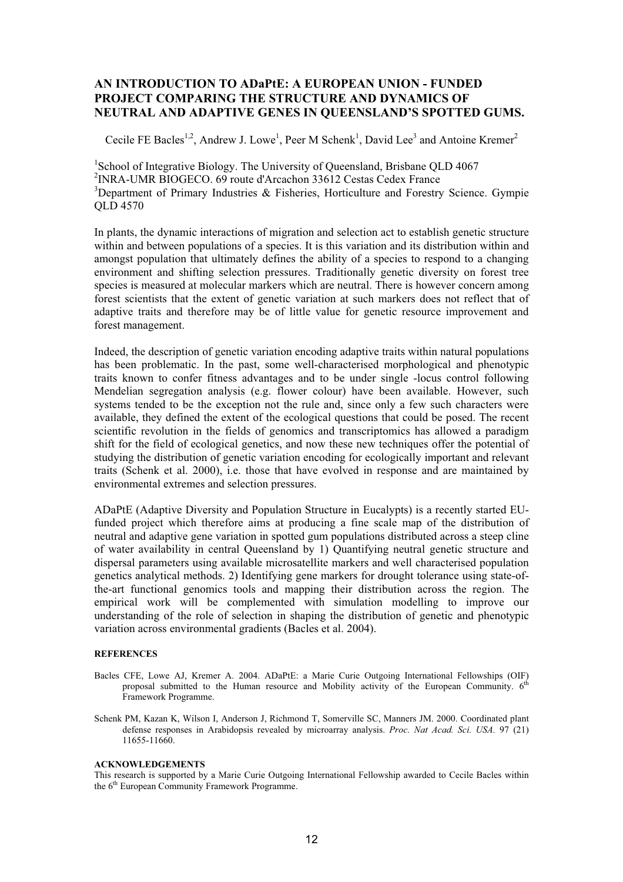## **AN INTRODUCTION TO ADaPtE: A EUROPEAN UNION - FUNDED PROJECT COMPARING THE STRUCTURE AND DYNAMICS OF NEUTRAL AND ADAPTIVE GENES IN QUEENSLAND'S SPOTTED GUMS.**

Cecile FE Bacles<sup>1,2</sup>, Andrew J. Lowe<sup>1</sup>, Peer M Schenk<sup>1</sup>, David Lee<sup>3</sup> and Antoine Kremer<sup>2</sup>

<sup>1</sup>School of Integrative Biology. The University of Queensland, Brisbane QLD 4067 2 INRA-UMR BIOGECO. 69 route d'Arcachon 33612 Cestas Cedex France  $3$ Department of Primary Industries & Fisheries, Horticulture and Forestry Science. Gympie QLD 4570

In plants, the dynamic interactions of migration and selection act to establish genetic structure within and between populations of a species. It is this variation and its distribution within and amongst population that ultimately defines the ability of a species to respond to a changing environment and shifting selection pressures. Traditionally genetic diversity on forest tree species is measured at molecular markers which are neutral. There is however concern among forest scientists that the extent of genetic variation at such markers does not reflect that of adaptive traits and therefore may be of little value for genetic resource improvement and forest management.

Indeed, the description of genetic variation encoding adaptive traits within natural populations has been problematic. In the past, some well-characterised morphological and phenotypic traits known to confer fitness advantages and to be under single -locus control following Mendelian segregation analysis (e.g. flower colour) have been available. However, such systems tended to be the exception not the rule and, since only a few such characters were available, they defined the extent of the ecological questions that could be posed. The recent scientific revolution in the fields of genomics and transcriptomics has allowed a paradigm shift for the field of ecological genetics, and now these new techniques offer the potential of studying the distribution of genetic variation encoding for ecologically important and relevant traits (Schenk et al. 2000), i.e. those that have evolved in response and are maintained by environmental extremes and selection pressures.

ADaPtE (Adaptive Diversity and Population Structure in Eucalypts) is a recently started EUfunded project which therefore aims at producing a fine scale map of the distribution of neutral and adaptive gene variation in spotted gum populations distributed across a steep cline of water availability in central Queensland by 1) Quantifying neutral genetic structure and dispersal parameters using available microsatellite markers and well characterised population genetics analytical methods. 2) Identifying gene markers for drought tolerance using state-ofthe-art functional genomics tools and mapping their distribution across the region. The empirical work will be complemented with simulation modelling to improve our understanding of the role of selection in shaping the distribution of genetic and phenotypic variation across environmental gradients (Bacles et al. 2004).

#### **REFERENCES**

- Bacles CFE, Lowe AJ, Kremer A. 2004. ADaPtE: a Marie Curie Outgoing International Fellowships (OIF) proposal submitted to the Human resource and Mobility activity of the European Community. 6<sup>th</sup> Framework Programme.
- Schenk PM, Kazan K, Wilson I, Anderson J, Richmond T, Somerville SC, Manners JM. 2000. Coordinated plant defense responses in Arabidopsis revealed by microarray analysis. *Proc. Nat Acad. Sci. USA.* 97 (21) 11655-11660.

#### **ACKNOWLEDGEMENTS**

This research is supported by a Marie Curie Outgoing International Fellowship awarded to Cecile Bacles within the 6<sup>th</sup> European Community Framework Programme.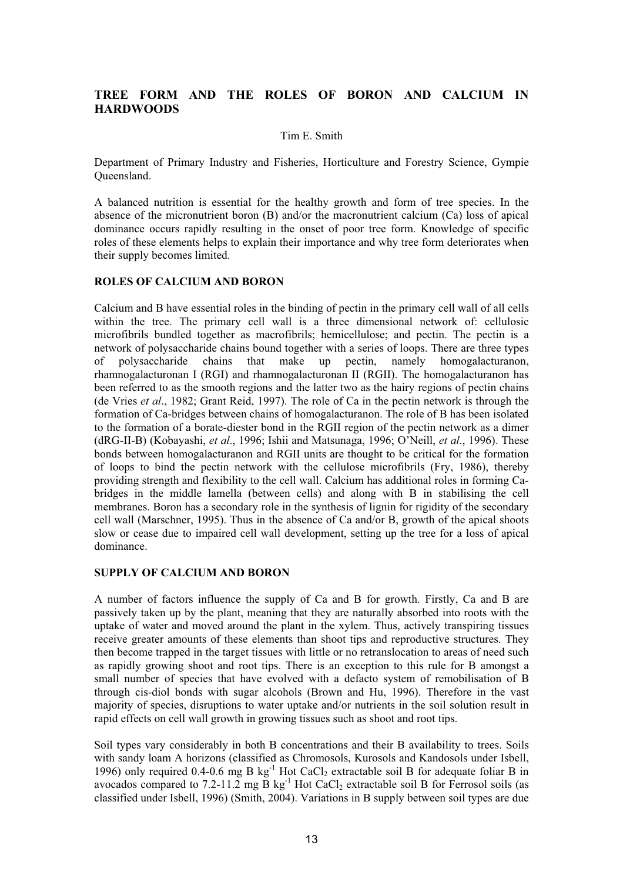## **TREE FORM AND THE ROLES OF BORON AND CALCIUM IN HARDWOODS**

#### Tim E. Smith

Department of Primary Industry and Fisheries, Horticulture and Forestry Science, Gympie Queensland.

A balanced nutrition is essential for the healthy growth and form of tree species. In the absence of the micronutrient boron (B) and/or the macronutrient calcium (Ca) loss of apical dominance occurs rapidly resulting in the onset of poor tree form. Knowledge of specific roles of these elements helps to explain their importance and why tree form deteriorates when their supply becomes limited.

#### **ROLES OF CALCIUM AND BORON**

Calcium and B have essential roles in the binding of pectin in the primary cell wall of all cells within the tree. The primary cell wall is a three dimensional network of: cellulosic microfibrils bundled together as macrofibrils; hemicellulose; and pectin. The pectin is a network of polysaccharide chains bound together with a series of loops. There are three types of polysaccharide chains that make up pectin, namely homogalacturanon, rhamnogalacturonan I (RGI) and rhamnogalacturonan II (RGII). The homogalacturanon has been referred to as the smooth regions and the latter two as the hairy regions of pectin chains (de Vries *et al*., 1982; Grant Reid, 1997). The role of Ca in the pectin network is through the formation of Ca-bridges between chains of homogalacturanon. The role of B has been isolated to the formation of a borate-diester bond in the RGII region of the pectin network as a dimer (dRG-II-B) (Kobayashi, *et al*., 1996; Ishii and Matsunaga, 1996; O'Neill, *et al*., 1996). These bonds between homogalacturanon and RGII units are thought to be critical for the formation of loops to bind the pectin network with the cellulose microfibrils (Fry, 1986), thereby providing strength and flexibility to the cell wall. Calcium has additional roles in forming Cabridges in the middle lamella (between cells) and along with B in stabilising the cell membranes. Boron has a secondary role in the synthesis of lignin for rigidity of the secondary cell wall (Marschner, 1995). Thus in the absence of Ca and/or B, growth of the apical shoots slow or cease due to impaired cell wall development, setting up the tree for a loss of apical dominance.

#### **SUPPLY OF CALCIUM AND BORON**

A number of factors influence the supply of Ca and B for growth. Firstly, Ca and B are passively taken up by the plant, meaning that they are naturally absorbed into roots with the uptake of water and moved around the plant in the xylem. Thus, actively transpiring tissues receive greater amounts of these elements than shoot tips and reproductive structures. They then become trapped in the target tissues with little or no retranslocation to areas of need such as rapidly growing shoot and root tips. There is an exception to this rule for B amongst a small number of species that have evolved with a defacto system of remobilisation of B through cis-diol bonds with sugar alcohols (Brown and Hu, 1996). Therefore in the vast majority of species, disruptions to water uptake and/or nutrients in the soil solution result in rapid effects on cell wall growth in growing tissues such as shoot and root tips.

Soil types vary considerably in both B concentrations and their B availability to trees. Soils with sandy loam A horizons (classified as Chromosols, Kurosols and Kandosols under Isbell, 1996) only required 0.4-0.6 mg B kg<sup>-1</sup> Hot CaCl<sub>2</sub> extractable soil B for adequate foliar B in avocados compared to 7.2-11.2 mg B kg<sup>-1</sup> Hot CaCl<sub>2</sub> extractable soil B for Ferrosol soils (as classified under Isbell, 1996) (Smith, 2004). Variations in B supply between soil types are due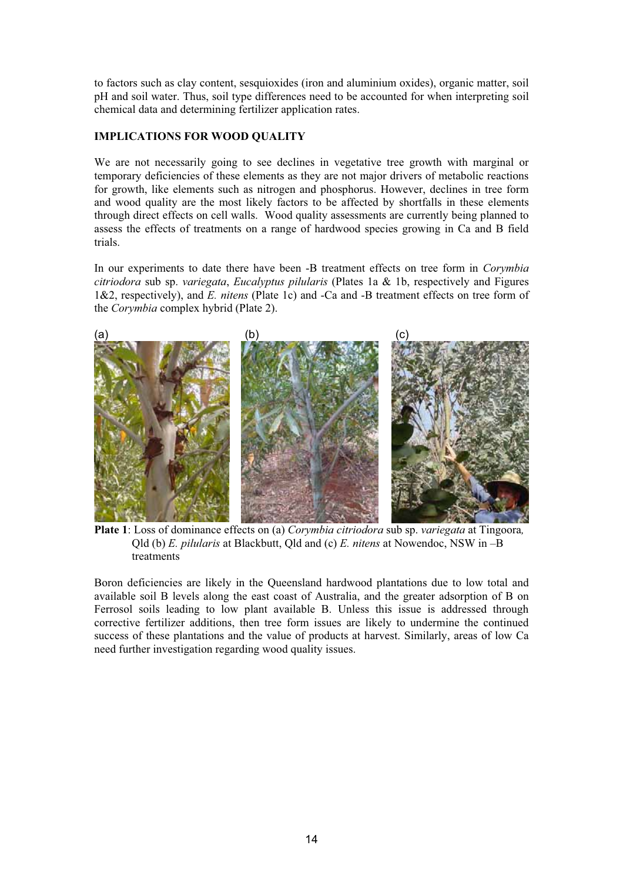to factors such as clay content, sesquioxides (iron and aluminium oxides), organic matter, soil pH and soil water. Thus, soil type differences need to be accounted for when interpreting soil chemical data and determining fertilizer application rates.

## **IMPLICATIONS FOR WOOD QUALITY**

We are not necessarily going to see declines in vegetative tree growth with marginal or temporary deficiencies of these elements as they are not major drivers of metabolic reactions for growth, like elements such as nitrogen and phosphorus. However, declines in tree form and wood quality are the most likely factors to be affected by shortfalls in these elements through direct effects on cell walls. Wood quality assessments are currently being planned to assess the effects of treatments on a range of hardwood species growing in Ca and B field trials.

In our experiments to date there have been -B treatment effects on tree form in *Corymbia citriodora* sub sp. *variegata*, *Eucalyptus pilularis* (Plates 1a & 1b, respectively and Figures 1&2, respectively), and *E. nitens* (Plate 1c) and -Ca and -B treatment effects on tree form of the *Corymbia* complex hybrid (Plate 2).



**Plate 1**: Loss of dominance effects on (a) *Corymbia citriodora* sub sp. *variegata* at Tingoora*,* Qld (b) *E. pilularis* at Blackbutt, Qld and (c) *E. nitens* at Nowendoc, NSW in –B treatments

Boron deficiencies are likely in the Queensland hardwood plantations due to low total and available soil B levels along the east coast of Australia, and the greater adsorption of B on Ferrosol soils leading to low plant available B. Unless this issue is addressed through corrective fertilizer additions, then tree form issues are likely to undermine the continued success of these plantations and the value of products at harvest. Similarly, areas of low Ca need further investigation regarding wood quality issues.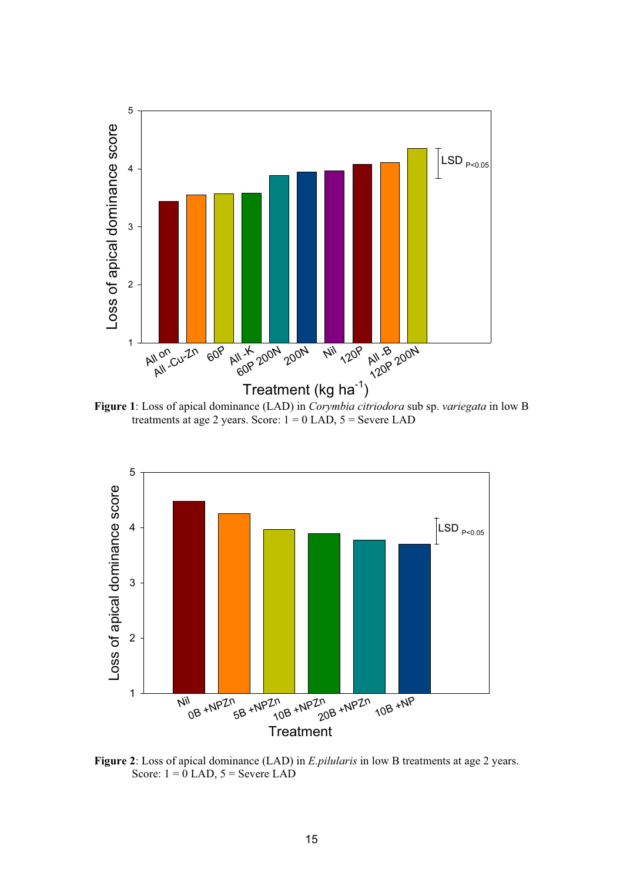

**Figure 1**: Loss of apical dominance (LAD) in *Corymbia citriodora* sub sp. *variegata* in low B treatments at age 2 years. Score:  $1 = 0$  LAD,  $5 =$  Severe LAD



**Figure 2**: Loss of apical dominance (LAD) in *E.pilularis* in low B treatments at age 2 years. Score:  $1 = 0$  LAD,  $5 =$  Severe LAD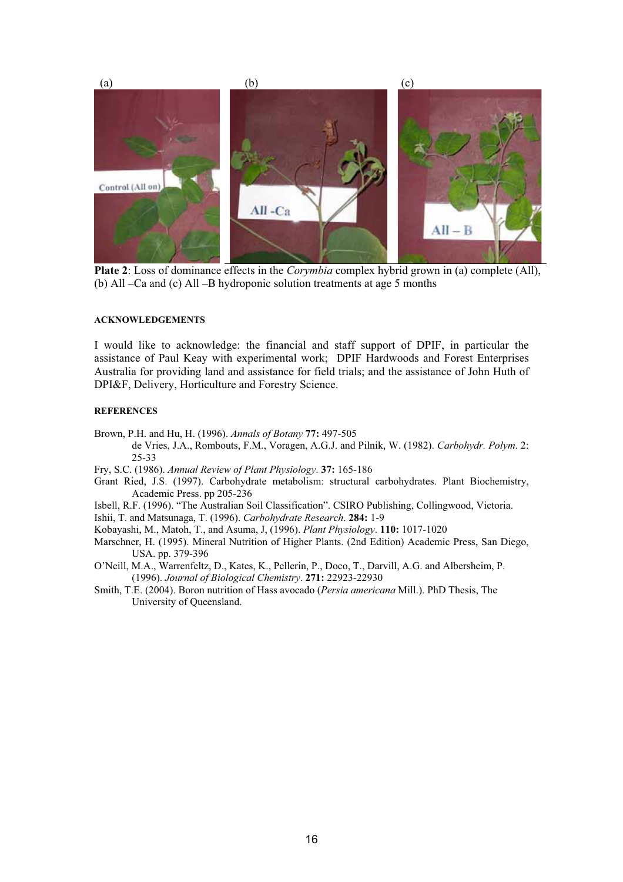

**Plate 2**: Loss of dominance effects in the *Corymbia* complex hybrid grown in (a) complete (All), (b) All –Ca and (c) All –B hydroponic solution treatments at age 5 months

#### **ACKNOWLEDGEMENTS**

I would like to acknowledge: the financial and staff support of DPIF, in particular the assistance of Paul Keay with experimental work; DPIF Hardwoods and Forest Enterprises Australia for providing land and assistance for field trials; and the assistance of John Huth of DPI&F, Delivery, Horticulture and Forestry Science.

#### **REFERENCES**

Brown, P.H. and Hu, H. (1996). *Annals of Botany* **77:** 497-505

- de Vries, J.A., Rombouts, F.M., Voragen, A.G.J. and Pilnik, W. (1982). *Carbohydr. Polym*. 2: 25-33
- Fry, S.C. (1986). *Annual Review of Plant Physiology*. **37:** 165-186
- Grant Ried, J.S. (1997). Carbohydrate metabolism: structural carbohydrates. Plant Biochemistry, Academic Press. pp 205-236
- Isbell, R.F. (1996). "The Australian Soil Classification". CSIRO Publishing, Collingwood, Victoria.

Ishii, T. and Matsunaga, T. (1996). *Carbohydrate Research*. **284:** 1-9

Kobayashi, M., Matoh, T., and Asuma, J, (1996). *Plant Physiology*. **110:** 1017-1020

Marschner, H. (1995). Mineral Nutrition of Higher Plants. (2nd Edition) Academic Press, San Diego, USA. pp. 379-396

O'Neill, M.A., Warrenfeltz, D., Kates, K., Pellerin, P., Doco, T., Darvill, A.G. and Albersheim, P. (1996). *Journal of Biological Chemistry*. **271:** 22923-22930

Smith, T.E. (2004). Boron nutrition of Hass avocado (*Persia americana* Mill.). PhD Thesis, The University of Queensland.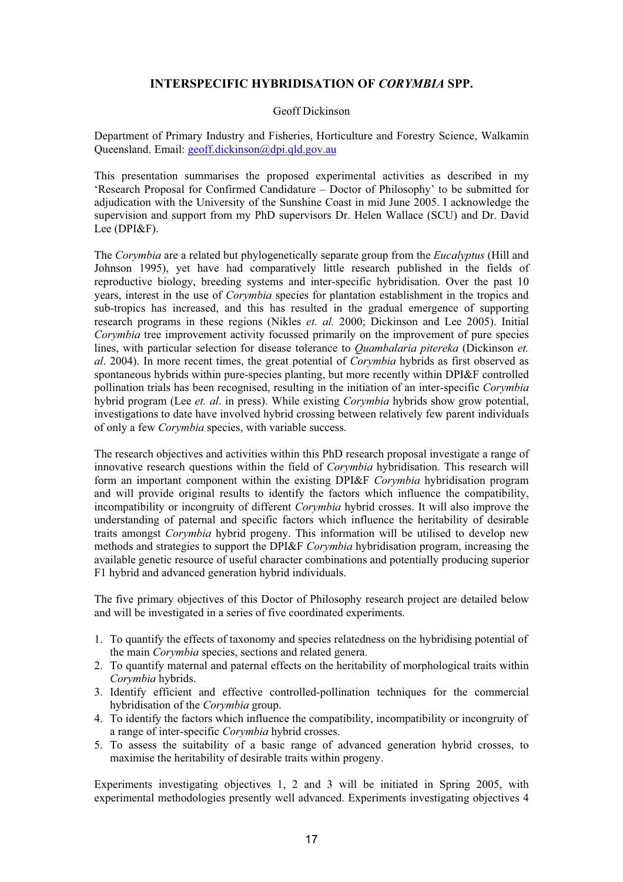## **INTERSPECIFIC HYBRIDISATION OF** *CORYMBIA* **SPP.**

#### Geoff Dickinson

Department of Primary Industry and Fisheries, Horticulture and Forestry Science, Walkamin Queensland. Email: geoff.dickinson@dpi.qld.gov.au

This presentation summarises the proposed experimental activities as described in my 'Research Proposal for Confirmed Candidature – Doctor of Philosophy' to be submitted for adjudication with the University of the Sunshine Coast in mid June 2005. I acknowledge the supervision and support from my PhD supervisors Dr. Helen Wallace (SCU) and Dr. David Lee (DPI&F).

The *Corymbia* are a related but phylogenetically separate group from the *Eucalyptus* (Hill and Johnson 1995), yet have had comparatively little research published in the fields of reproductive biology, breeding systems and inter-specific hybridisation. Over the past 10 years, interest in the use of *Corymbia* species for plantation establishment in the tropics and sub-tropics has increased, and this has resulted in the gradual emergence of supporting research programs in these regions (Nikles *et. al.* 2000; Dickinson and Lee 2005). Initial *Corymbia* tree improvement activity focussed primarily on the improvement of pure species lines, with particular selection for disease tolerance to *Quambalaria pitereka* (Dickinson *et. al*. 2004). In more recent times, the great potential of *Corymbia* hybrids as first observed as spontaneous hybrids within pure-species planting, but more recently within DPI&F controlled pollination trials has been recognised, resulting in the initiation of an inter-specific *Corymbia* hybrid program (Lee *et. al*. in press). While existing *Corymbia* hybrids show grow potential, investigations to date have involved hybrid crossing between relatively few parent individuals of only a few *Corymbia* species, with variable success.

The research objectives and activities within this PhD research proposal investigate a range of innovative research questions within the field of *Corymbia* hybridisation. This research will form an important component within the existing DPI&F *Corymbia* hybridisation program and will provide original results to identify the factors which influence the compatibility, incompatibility or incongruity of different *Corymbia* hybrid crosses. It will also improve the understanding of paternal and specific factors which influence the heritability of desirable traits amongst *Corymbia* hybrid progeny. This information will be utilised to develop new methods and strategies to support the DPI&F *Corymbia* hybridisation program, increasing the available genetic resource of useful character combinations and potentially producing superior F1 hybrid and advanced generation hybrid individuals.

The five primary objectives of this Doctor of Philosophy research project are detailed below and will be investigated in a series of five coordinated experiments.

- 1. To quantify the effects of taxonomy and species relatedness on the hybridising potential of the main *Corymbia* species, sections and related genera.
- 2. To quantify maternal and paternal effects on the heritability of morphological traits within *Corymbia* hybrids.
- 3. Identify efficient and effective controlled-pollination techniques for the commercial hybridisation of the *Corymbia* group.
- 4. To identify the factors which influence the compatibility, incompatibility or incongruity of a range of inter-specific *Corymbia* hybrid crosses.
- 5. To assess the suitability of a basic range of advanced generation hybrid crosses, to maximise the heritability of desirable traits within progeny.

Experiments investigating objectives 1, 2 and 3 will be initiated in Spring 2005, with experimental methodologies presently well advanced. Experiments investigating objectives 4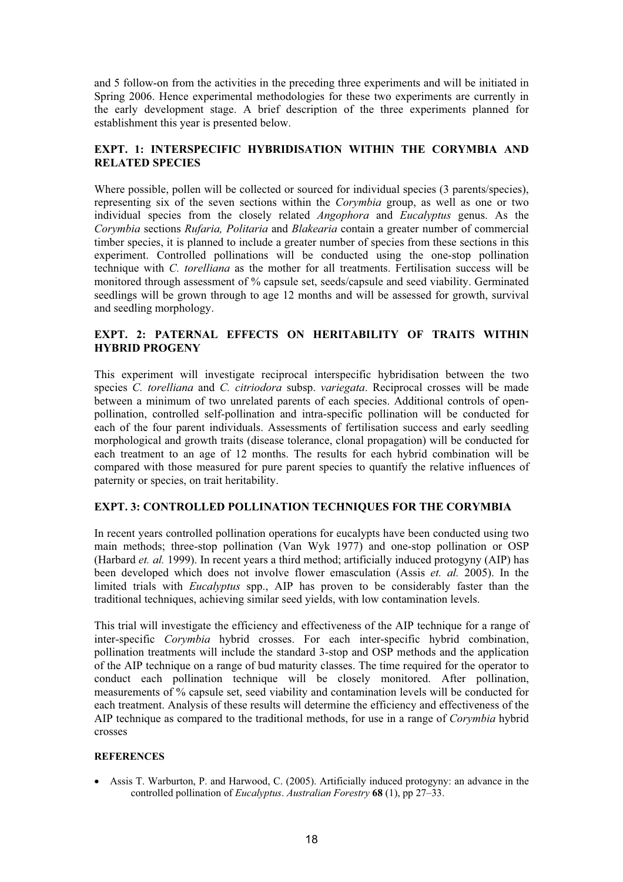and 5 follow-on from the activities in the preceding three experiments and will be initiated in Spring 2006. Hence experimental methodologies for these two experiments are currently in the early development stage. A brief description of the three experiments planned for establishment this year is presented below.

## **EXPT. 1: INTERSPECIFIC HYBRIDISATION WITHIN THE CORYMBIA AND RELATED SPECIES**

Where possible, pollen will be collected or sourced for individual species (3 parents/species), representing six of the seven sections within the *Corymbia* group, as well as one or two individual species from the closely related *Angophora* and *Eucalyptus* genus. As the *Corymbia* sections *Rufaria, Politaria* and *Blakearia* contain a greater number of commercial timber species, it is planned to include a greater number of species from these sections in this experiment. Controlled pollinations will be conducted using the one-stop pollination technique with *C. torelliana* as the mother for all treatments. Fertilisation success will be monitored through assessment of % capsule set, seeds/capsule and seed viability. Germinated seedlings will be grown through to age 12 months and will be assessed for growth, survival and seedling morphology.

## **EXPT. 2: PATERNAL EFFECTS ON HERITABILITY OF TRAITS WITHIN HYBRID PROGENY**

This experiment will investigate reciprocal interspecific hybridisation between the two species *C. torelliana* and *C. citriodora* subsp. *variegata*. Reciprocal crosses will be made between a minimum of two unrelated parents of each species. Additional controls of openpollination, controlled self-pollination and intra-specific pollination will be conducted for each of the four parent individuals. Assessments of fertilisation success and early seedling morphological and growth traits (disease tolerance, clonal propagation) will be conducted for each treatment to an age of 12 months. The results for each hybrid combination will be compared with those measured for pure parent species to quantify the relative influences of paternity or species, on trait heritability.

## **EXPT. 3: CONTROLLED POLLINATION TECHNIQUES FOR THE CORYMBIA**

In recent years controlled pollination operations for eucalypts have been conducted using two main methods; three-stop pollination (Van Wyk 1977) and one-stop pollination or OSP (Harbard *et. al.* 1999). In recent years a third method; artificially induced protogyny (AIP) has been developed which does not involve flower emasculation (Assis *et. al.* 2005). In the limited trials with *Eucalyptus* spp., AIP has proven to be considerably faster than the traditional techniques, achieving similar seed yields, with low contamination levels.

This trial will investigate the efficiency and effectiveness of the AIP technique for a range of inter-specific *Corymbia* hybrid crosses. For each inter-specific hybrid combination, pollination treatments will include the standard 3-stop and OSP methods and the application of the AIP technique on a range of bud maturity classes. The time required for the operator to conduct each pollination technique will be closely monitored. After pollination, measurements of % capsule set, seed viability and contamination levels will be conducted for each treatment. Analysis of these results will determine the efficiency and effectiveness of the AIP technique as compared to the traditional methods, for use in a range of *Corymbia* hybrid crosses

#### **REFERENCES**

• Assis T. Warburton, P. and Harwood, C. (2005). Artificially induced protogyny: an advance in the controlled pollination of *Eucalyptus*. *Australian Forestry* **68** (1), pp 27–33.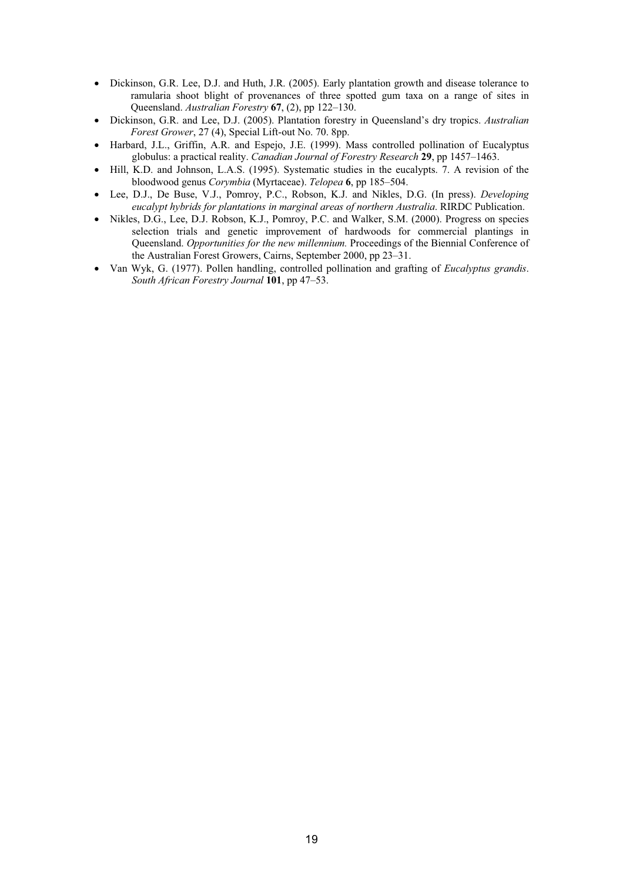- Dickinson, G.R. Lee, D.J. and Huth, J.R. (2005). Early plantation growth and disease tolerance to ramularia shoot blight of provenances of three spotted gum taxa on a range of sites in Queensland. *Australian Forestry* **67**, (2), pp 122–130.
- x Dickinson, G.R. and Lee, D.J. (2005). Plantation forestry in Queensland's dry tropics. *Australian Forest Grower*, 27 (4), Special Lift-out No. 70. 8pp.
- x Harbard, J.L., Griffin, A.R. and Espejo, J.E. (1999). Mass controlled pollination of Eucalyptus globulus: a practical reality. *Canadian Journal of Forestry Research* **29**, pp 1457–1463.
- Hill, K.D. and Johnson, L.A.S. (1995). Systematic studies in the eucalypts. 7. A revision of the bloodwood genus *Corymbia* (Myrtaceae). *Telopea* **6**, pp 185–504.
- x Lee, D.J., De Buse, V.J., Pomroy, P.C., Robson, K.J. and Nikles, D.G. (In press). *Developing eucalypt hybrids for plantations in marginal areas of northern Australia*. RIRDC Publication.
- x Nikles, D.G., Lee, D.J. Robson, K.J., Pomroy, P.C. and Walker, S.M. (2000). Progress on species selection trials and genetic improvement of hardwoods for commercial plantings in Queensland. *Opportunities for the new millennium.* Proceedings of the Biennial Conference of the Australian Forest Growers, Cairns, September 2000, pp 23–31.
- x Van Wyk, G. (1977). Pollen handling, controlled pollination and grafting of *Eucalyptus grandis*. *South African Forestry Journal* **101**, pp 47–53.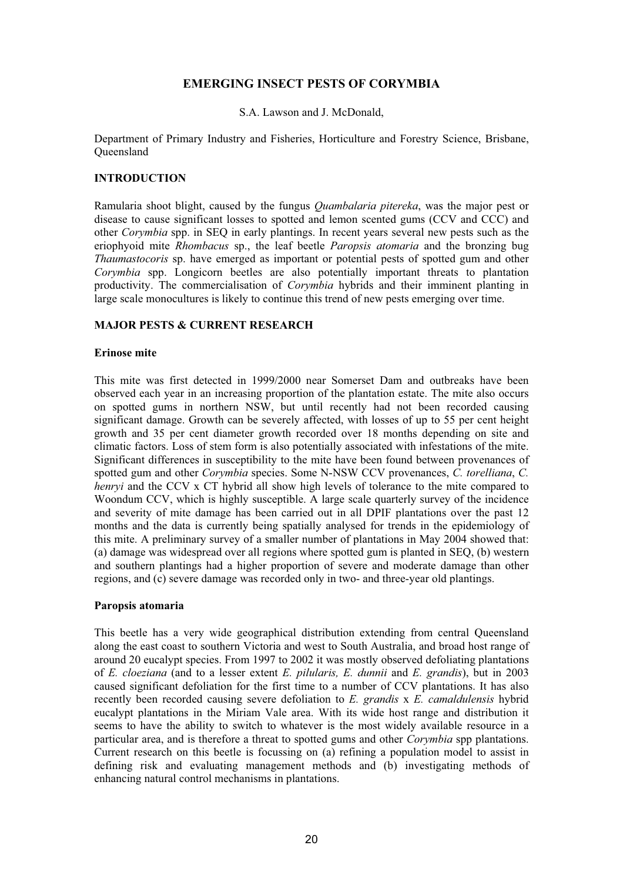## **EMERGING INSECT PESTS OF CORYMBIA**

S.A. Lawson and J. McDonald,

Department of Primary Industry and Fisheries, Horticulture and Forestry Science, Brisbane, **Oueensland** 

### **INTRODUCTION**

Ramularia shoot blight, caused by the fungus *Quambalaria pitereka*, was the major pest or disease to cause significant losses to spotted and lemon scented gums (CCV and CCC) and other *Corymbia* spp. in SEQ in early plantings. In recent years several new pests such as the eriophyoid mite *Rhombacus* sp., the leaf beetle *Paropsis atomaria* and the bronzing bug *Thaumastocoris* sp. have emerged as important or potential pests of spotted gum and other *Corymbia* spp. Longicorn beetles are also potentially important threats to plantation productivity. The commercialisation of *Corymbia* hybrids and their imminent planting in large scale monocultures is likely to continue this trend of new pests emerging over time.

## **MAJOR PESTS & CURRENT RESEARCH**

#### **Erinose mite**

This mite was first detected in 1999/2000 near Somerset Dam and outbreaks have been observed each year in an increasing proportion of the plantation estate. The mite also occurs on spotted gums in northern NSW, but until recently had not been recorded causing significant damage. Growth can be severely affected, with losses of up to 55 per cent height growth and 35 per cent diameter growth recorded over 18 months depending on site and climatic factors. Loss of stem form is also potentially associated with infestations of the mite. Significant differences in susceptibility to the mite have been found between provenances of spotted gum and other *Corymbia* species. Some N-NSW CCV provenances, *C. torelliana*, *C. henryi* and the CCV x CT hybrid all show high levels of tolerance to the mite compared to Woondum CCV, which is highly susceptible. A large scale quarterly survey of the incidence and severity of mite damage has been carried out in all DPIF plantations over the past 12 months and the data is currently being spatially analysed for trends in the epidemiology of this mite. A preliminary survey of a smaller number of plantations in May 2004 showed that: (a) damage was widespread over all regions where spotted gum is planted in SEQ, (b) western and southern plantings had a higher proportion of severe and moderate damage than other regions, and (c) severe damage was recorded only in two- and three-year old plantings.

#### **Paropsis atomaria**

This beetle has a very wide geographical distribution extending from central Queensland along the east coast to southern Victoria and west to South Australia, and broad host range of around 20 eucalypt species. From 1997 to 2002 it was mostly observed defoliating plantations of *E. cloeziana* (and to a lesser extent *E. pilularis, E. dunnii* and *E. grandis*), but in 2003 caused significant defoliation for the first time to a number of CCV plantations. It has also recently been recorded causing severe defoliation to *E. grandis* x *E. camaldulensis* hybrid eucalypt plantations in the Miriam Vale area. With its wide host range and distribution it seems to have the ability to switch to whatever is the most widely available resource in a particular area, and is therefore a threat to spotted gums and other *Corymbia* spp plantations. Current research on this beetle is focussing on (a) refining a population model to assist in defining risk and evaluating management methods and (b) investigating methods of enhancing natural control mechanisms in plantations.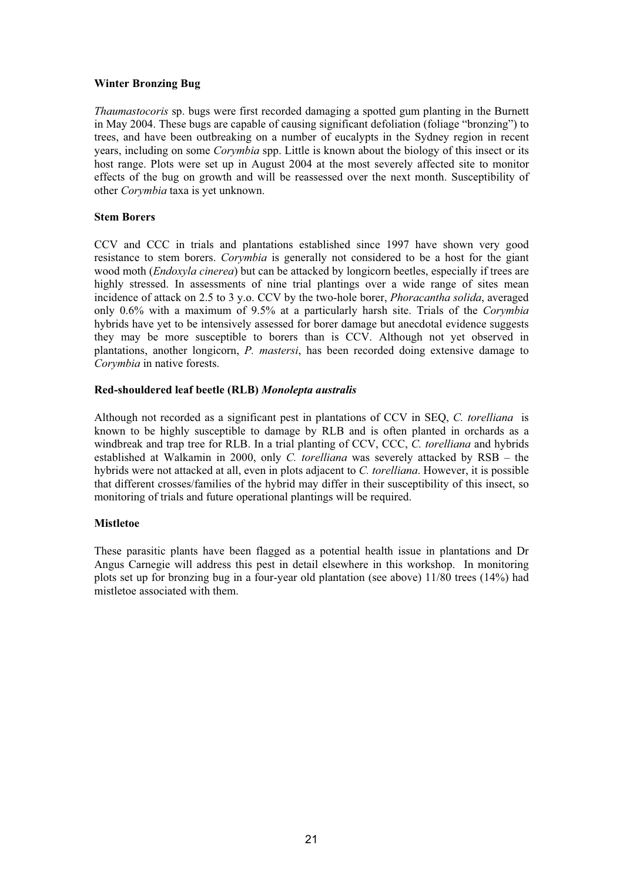### **Winter Bronzing Bug**

*Thaumastocoris* sp. bugs were first recorded damaging a spotted gum planting in the Burnett in May 2004. These bugs are capable of causing significant defoliation (foliage "bronzing") to trees, and have been outbreaking on a number of eucalypts in the Sydney region in recent years, including on some *Corymbia* spp. Little is known about the biology of this insect or its host range. Plots were set up in August 2004 at the most severely affected site to monitor effects of the bug on growth and will be reassessed over the next month. Susceptibility of other *Corymbia* taxa is yet unknown.

#### **Stem Borers**

CCV and CCC in trials and plantations established since 1997 have shown very good resistance to stem borers. *Corymbia* is generally not considered to be a host for the giant wood moth (*Endoxyla cinerea*) but can be attacked by longicorn beetles, especially if trees are highly stressed. In assessments of nine trial plantings over a wide range of sites mean incidence of attack on 2.5 to 3 y.o. CCV by the two-hole borer, *Phoracantha solida*, averaged only 0.6% with a maximum of 9.5% at a particularly harsh site. Trials of the *Corymbia*  hybrids have yet to be intensively assessed for borer damage but anecdotal evidence suggests they may be more susceptible to borers than is CCV. Although not yet observed in plantations, another longicorn, *P. mastersi*, has been recorded doing extensive damage to *Corymbia* in native forests.

## **Red-shouldered leaf beetle (RLB)** *Monolepta australis*

Although not recorded as a significant pest in plantations of CCV in SEQ, *C. torelliana* is known to be highly susceptible to damage by RLB and is often planted in orchards as a windbreak and trap tree for RLB. In a trial planting of CCV, CCC, *C. torelliana* and hybrids established at Walkamin in 2000, only *C. torelliana* was severely attacked by RSB – the hybrids were not attacked at all, even in plots adjacent to *C. torelliana*. However, it is possible that different crosses/families of the hybrid may differ in their susceptibility of this insect, so monitoring of trials and future operational plantings will be required.

## **Mistletoe**

These parasitic plants have been flagged as a potential health issue in plantations and Dr Angus Carnegie will address this pest in detail elsewhere in this workshop. In monitoring plots set up for bronzing bug in a four-year old plantation (see above) 11/80 trees (14%) had mistletoe associated with them.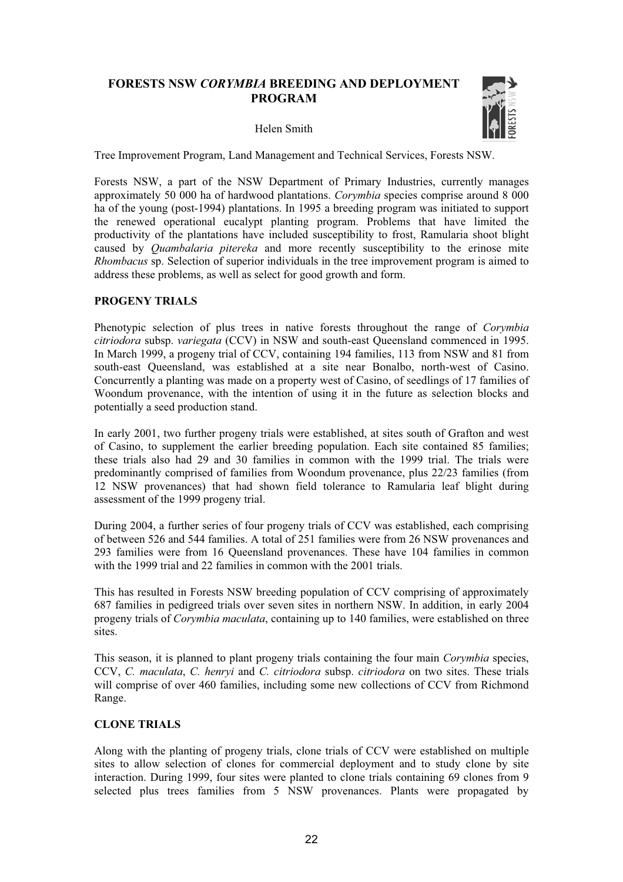## **FORESTS NSW** *CORYMBIA* **BREEDING AND DEPLOYMENT PROGRAM**

#### Helen Smith



Tree Improvement Program, Land Management and Technical Services, Forests NSW.

Forests NSW, a part of the NSW Department of Primary Industries, currently manages approximately 50 000 ha of hardwood plantations. *Corymbia* species comprise around 8 000 ha of the young (post-1994) plantations. In 1995 a breeding program was initiated to support the renewed operational eucalypt planting program. Problems that have limited the productivity of the plantations have included susceptibility to frost, Ramularia shoot blight caused by *Quambalaria pitereka* and more recently susceptibility to the erinose mite *Rhombacus* sp. Selection of superior individuals in the tree improvement program is aimed to address these problems, as well as select for good growth and form.

#### **PROGENY TRIALS**

Phenotypic selection of plus trees in native forests throughout the range of *Corymbia citriodora* subsp. *variegata* (CCV) in NSW and south-east Queensland commenced in 1995. In March 1999, a progeny trial of CCV, containing 194 families, 113 from NSW and 81 from south-east Queensland, was established at a site near Bonalbo, north-west of Casino. Concurrently a planting was made on a property west of Casino, of seedlings of 17 families of Woondum provenance, with the intention of using it in the future as selection blocks and potentially a seed production stand.

In early 2001, two further progeny trials were established, at sites south of Grafton and west of Casino, to supplement the earlier breeding population. Each site contained 85 families; these trials also had 29 and 30 families in common with the 1999 trial. The trials were predominantly comprised of families from Woondum provenance, plus 22/23 families (from 12 NSW provenances) that had shown field tolerance to Ramularia leaf blight during assessment of the 1999 progeny trial.

During 2004, a further series of four progeny trials of CCV was established, each comprising of between 526 and 544 families. A total of 251 families were from 26 NSW provenances and 293 families were from 16 Queensland provenances. These have 104 families in common with the 1999 trial and 22 families in common with the 2001 trials.

This has resulted in Forests NSW breeding population of CCV comprising of approximately 687 families in pedigreed trials over seven sites in northern NSW. In addition, in early 2004 progeny trials of *Corymbia maculata*, containing up to 140 families, were established on three sites.

This season, it is planned to plant progeny trials containing the four main *Corymbia* species, CCV, *C. maculata*, *C. henryi* and *C. citriodora* subsp. *citriodora* on two sites. These trials will comprise of over 460 families, including some new collections of CCV from Richmond Range.

#### **CLONE TRIALS**

Along with the planting of progeny trials, clone trials of CCV were established on multiple sites to allow selection of clones for commercial deployment and to study clone by site interaction. During 1999, four sites were planted to clone trials containing 69 clones from 9 selected plus trees families from 5 NSW provenances. Plants were propagated by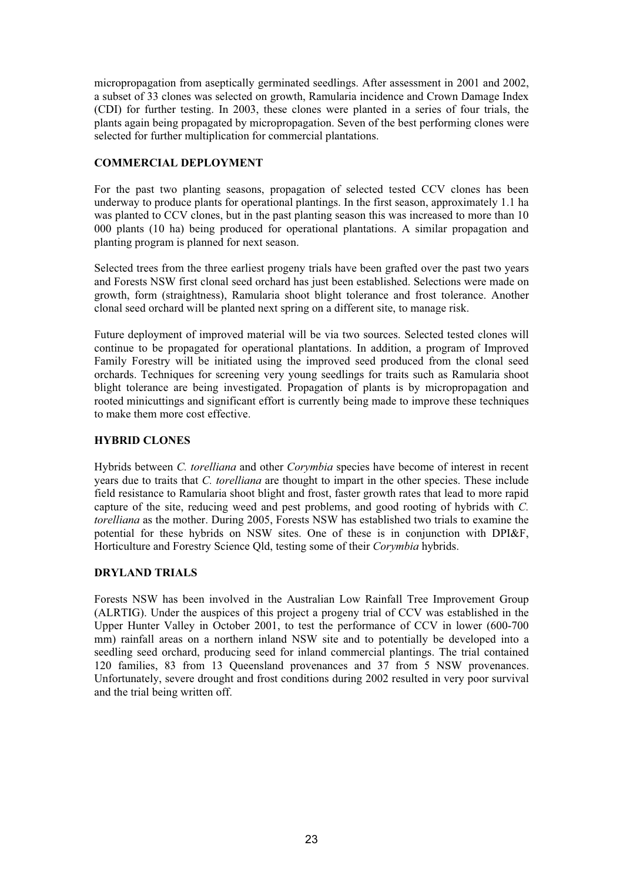micropropagation from aseptically germinated seedlings. After assessment in 2001 and 2002, a subset of 33 clones was selected on growth, Ramularia incidence and Crown Damage Index (CDI) for further testing. In 2003, these clones were planted in a series of four trials, the plants again being propagated by micropropagation. Seven of the best performing clones were selected for further multiplication for commercial plantations.

## **COMMERCIAL DEPLOYMENT**

For the past two planting seasons, propagation of selected tested CCV clones has been underway to produce plants for operational plantings. In the first season, approximately 1.1 ha was planted to CCV clones, but in the past planting season this was increased to more than 10 000 plants (10 ha) being produced for operational plantations. A similar propagation and planting program is planned for next season.

Selected trees from the three earliest progeny trials have been grafted over the past two years and Forests NSW first clonal seed orchard has just been established. Selections were made on growth, form (straightness), Ramularia shoot blight tolerance and frost tolerance. Another clonal seed orchard will be planted next spring on a different site, to manage risk.

Future deployment of improved material will be via two sources. Selected tested clones will continue to be propagated for operational plantations. In addition, a program of Improved Family Forestry will be initiated using the improved seed produced from the clonal seed orchards. Techniques for screening very young seedlings for traits such as Ramularia shoot blight tolerance are being investigated. Propagation of plants is by micropropagation and rooted minicuttings and significant effort is currently being made to improve these techniques to make them more cost effective.

### **HYBRID CLONES**

Hybrids between *C. torelliana* and other *Corymbia* species have become of interest in recent years due to traits that *C. torelliana* are thought to impart in the other species. These include field resistance to Ramularia shoot blight and frost, faster growth rates that lead to more rapid capture of the site, reducing weed and pest problems, and good rooting of hybrids with *C. torelliana* as the mother. During 2005, Forests NSW has established two trials to examine the potential for these hybrids on NSW sites. One of these is in conjunction with DPI&F, Horticulture and Forestry Science Qld, testing some of their *Corymbia* hybrids.

#### **DRYLAND TRIALS**

Forests NSW has been involved in the Australian Low Rainfall Tree Improvement Group (ALRTIG). Under the auspices of this project a progeny trial of CCV was established in the Upper Hunter Valley in October 2001, to test the performance of CCV in lower (600-700 mm) rainfall areas on a northern inland NSW site and to potentially be developed into a seedling seed orchard, producing seed for inland commercial plantings. The trial contained 120 families, 83 from 13 Queensland provenances and 37 from 5 NSW provenances. Unfortunately, severe drought and frost conditions during 2002 resulted in very poor survival and the trial being written off.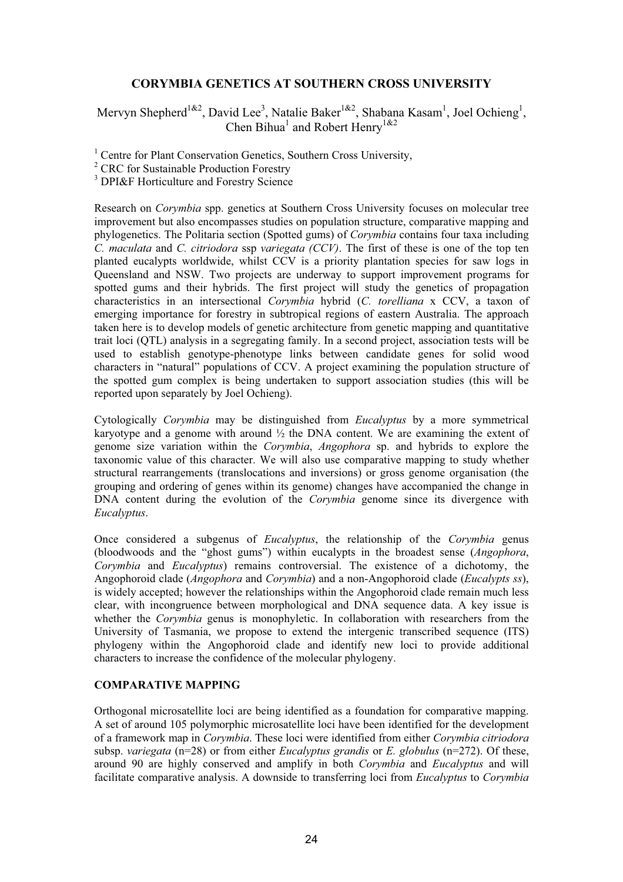## **CORYMBIA GENETICS AT SOUTHERN CROSS UNIVERSITY**

Mervyn Shepherd<sup>1&2</sup>, David Lee<sup>3</sup>, Natalie Baker<sup>1&2</sup>, Shabana Kasam<sup>1</sup>, Joel Ochieng<sup>1</sup>, Chen Bihua<sup>1</sup> and Robert Henry<sup>1&2</sup>

<sup>1</sup> Centre for Plant Conservation Genetics, Southern Cross University,

<sup>3</sup> DPI&F Horticulture and Forestry Science

Research on *Corymbia* spp. genetics at Southern Cross University focuses on molecular tree improvement but also encompasses studies on population structure, comparative mapping and phylogenetics. The Politaria section (Spotted gums) of *Corymbia* contains four taxa including *C. maculata* and *C. citriodora* ssp *variegata (CCV)*. The first of these is one of the top ten planted eucalypts worldwide, whilst CCV is a priority plantation species for saw logs in Queensland and NSW. Two projects are underway to support improvement programs for spotted gums and their hybrids. The first project will study the genetics of propagation characteristics in an intersectional *Corymbia* hybrid (*C. torelliana* x CCV, a taxon of emerging importance for forestry in subtropical regions of eastern Australia. The approach taken here is to develop models of genetic architecture from genetic mapping and quantitative trait loci (QTL) analysis in a segregating family. In a second project, association tests will be used to establish genotype-phenotype links between candidate genes for solid wood characters in "natural" populations of CCV. A project examining the population structure of the spotted gum complex is being undertaken to support association studies (this will be reported upon separately by Joel Ochieng).

Cytologically *Corymbia* may be distinguished from *Eucalyptus* by a more symmetrical karyotype and a genome with around  $\frac{1}{2}$  the DNA content. We are examining the extent of genome size variation within the *Corymbia*, *Angophora* sp. and hybrids to explore the taxonomic value of this character. We will also use comparative mapping to study whether structural rearrangements (translocations and inversions) or gross genome organisation (the grouping and ordering of genes within its genome) changes have accompanied the change in DNA content during the evolution of the *Corymbia* genome since its divergence with *Eucalyptus*.

Once considered a subgenus of *Eucalyptus*, the relationship of the *Corymbia* genus (bloodwoods and the "ghost gums") within eucalypts in the broadest sense (*Angophora*, *Corymbia* and *Eucalyptus*) remains controversial. The existence of a dichotomy, the Angophoroid clade (*Angophora* and *Corymbia*) and a non-Angophoroid clade (*Eucalypts ss*), is widely accepted; however the relationships within the Angophoroid clade remain much less clear, with incongruence between morphological and DNA sequence data. A key issue is whether the *Corymbia* genus is monophyletic. In collaboration with researchers from the University of Tasmania, we propose to extend the intergenic transcribed sequence (ITS) phylogeny within the Angophoroid clade and identify new loci to provide additional characters to increase the confidence of the molecular phylogeny.

#### **COMPARATIVE MAPPING**

Orthogonal microsatellite loci are being identified as a foundation for comparative mapping. A set of around 105 polymorphic microsatellite loci have been identified for the development of a framework map in *Corymbia*. These loci were identified from either *Corymbia citriodora* subsp. *variegata* (n=28) or from either *Eucalyptus grandis* or *E. globulus* (n=272). Of these, around 90 are highly conserved and amplify in both *Corymbia* and *Eucalyptus* and will facilitate comparative analysis. A downside to transferring loci from *Eucalyptus* to *Corymbia*

<sup>&</sup>lt;sup>2</sup> CRC for Sustainable Production Forestry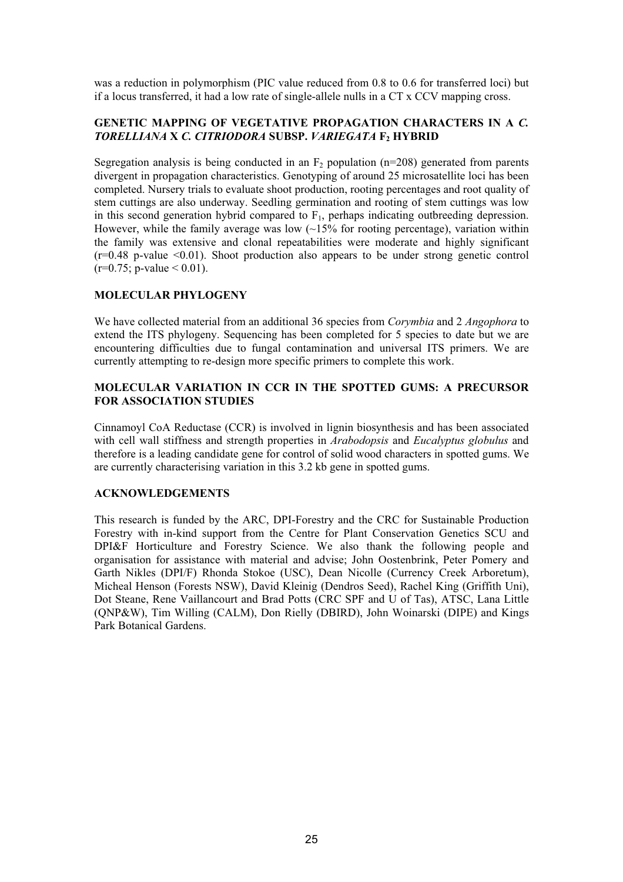was a reduction in polymorphism (PIC value reduced from 0.8 to 0.6 for transferred loci) but if a locus transferred, it had a low rate of single-allele nulls in a CT x CCV mapping cross.

## **GENETIC MAPPING OF VEGETATIVE PROPAGATION CHARACTERS IN A** *C. TORELLIANA* **X** *C. CITRIODORA* **SUBSP.** *VARIEGATA* **F2 HYBRID**

Segregation analysis is being conducted in an  $F_2$  population (n=208) generated from parents divergent in propagation characteristics. Genotyping of around 25 microsatellite loci has been completed. Nursery trials to evaluate shoot production, rooting percentages and root quality of stem cuttings are also underway. Seedling germination and rooting of stem cuttings was low in this second generation hybrid compared to  $F_1$ , perhaps indicating outbreeding depression. However, while the family average was low  $(-15\%$  for rooting percentage), variation within the family was extensive and clonal repeatabilities were moderate and highly significant  $(r=0.48 \text{ p-value} \leq 0.01)$ . Shoot production also appears to be under strong genetic control  $(r=0.75; p-value < 0.01)$ .

## **MOLECULAR PHYLOGENY**

We have collected material from an additional 36 species from *Corymbia* and 2 *Angophora* to extend the ITS phylogeny. Sequencing has been completed for 5 species to date but we are encountering difficulties due to fungal contamination and universal ITS primers. We are currently attempting to re-design more specific primers to complete this work.

### **MOLECULAR VARIATION IN CCR IN THE SPOTTED GUMS: A PRECURSOR FOR ASSOCIATION STUDIES**

Cinnamoyl CoA Reductase (CCR) is involved in lignin biosynthesis and has been associated with cell wall stiffness and strength properties in *Arabodopsis* and *Eucalyptus globulus* and therefore is a leading candidate gene for control of solid wood characters in spotted gums. We are currently characterising variation in this 3.2 kb gene in spotted gums.

#### **ACKNOWLEDGEMENTS**

This research is funded by the ARC, DPI-Forestry and the CRC for Sustainable Production Forestry with in-kind support from the Centre for Plant Conservation Genetics SCU and DPI&F Horticulture and Forestry Science. We also thank the following people and organisation for assistance with material and advise; John Oostenbrink, Peter Pomery and Garth Nikles (DPI/F) Rhonda Stokoe (USC), Dean Nicolle (Currency Creek Arboretum), Micheal Henson (Forests NSW), David Kleinig (Dendros Seed), Rachel King (Griffith Uni), Dot Steane, Rene Vaillancourt and Brad Potts (CRC SPF and U of Tas), ATSC, Lana Little (QNP&W), Tim Willing (CALM), Don Rielly (DBIRD), John Woinarski (DIPE) and Kings Park Botanical Gardens.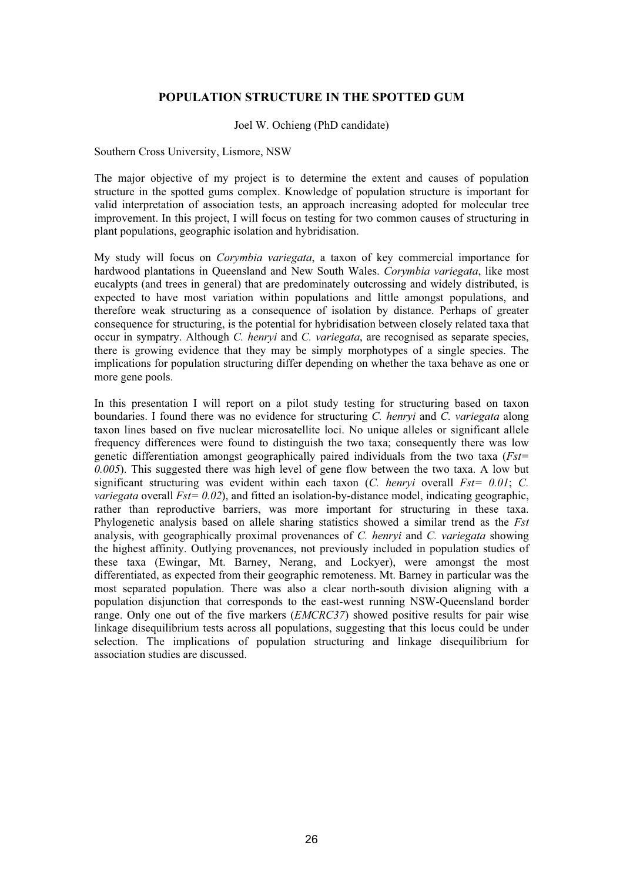### **POPULATION STRUCTURE IN THE SPOTTED GUM**

Joel W. Ochieng (PhD candidate)

Southern Cross University, Lismore, NSW

The major objective of my project is to determine the extent and causes of population structure in the spotted gums complex. Knowledge of population structure is important for valid interpretation of association tests, an approach increasing adopted for molecular tree improvement. In this project, I will focus on testing for two common causes of structuring in plant populations, geographic isolation and hybridisation.

My study will focus on *Corymbia variegata*, a taxon of key commercial importance for hardwood plantations in Queensland and New South Wales. *Corymbia variegata*, like most eucalypts (and trees in general) that are predominately outcrossing and widely distributed, is expected to have most variation within populations and little amongst populations, and therefore weak structuring as a consequence of isolation by distance. Perhaps of greater consequence for structuring, is the potential for hybridisation between closely related taxa that occur in sympatry. Although *C. henryi* and *C. variegata*, are recognised as separate species, there is growing evidence that they may be simply morphotypes of a single species. The implications for population structuring differ depending on whether the taxa behave as one or more gene pools.

In this presentation I will report on a pilot study testing for structuring based on taxon boundaries. I found there was no evidence for structuring *C. henryi* and *C. variegata* along taxon lines based on five nuclear microsatellite loci. No unique alleles or significant allele frequency differences were found to distinguish the two taxa; consequently there was low genetic differentiation amongst geographically paired individuals from the two taxa (*Fst= 0.005*). This suggested there was high level of gene flow between the two taxa. A low but significant structuring was evident within each taxon (*C. henryi* overall *Fst= 0.01*; *C. variegata* overall *Fst*= 0.02), and fitted an isolation-by-distance model, indicating geographic, rather than reproductive barriers, was more important for structuring in these taxa. Phylogenetic analysis based on allele sharing statistics showed a similar trend as the *Fst* analysis, with geographically proximal provenances of *C. henryi* and *C. variegata* showing the highest affinity. Outlying provenances, not previously included in population studies of these taxa (Ewingar, Mt. Barney, Nerang, and Lockyer), were amongst the most differentiated, as expected from their geographic remoteness. Mt. Barney in particular was the most separated population. There was also a clear north-south division aligning with a population disjunction that corresponds to the east-west running NSW-Queensland border range. Only one out of the five markers (*EMCRC37*) showed positive results for pair wise linkage disequilibrium tests across all populations, suggesting that this locus could be under selection. The implications of population structuring and linkage disequilibrium for association studies are discussed.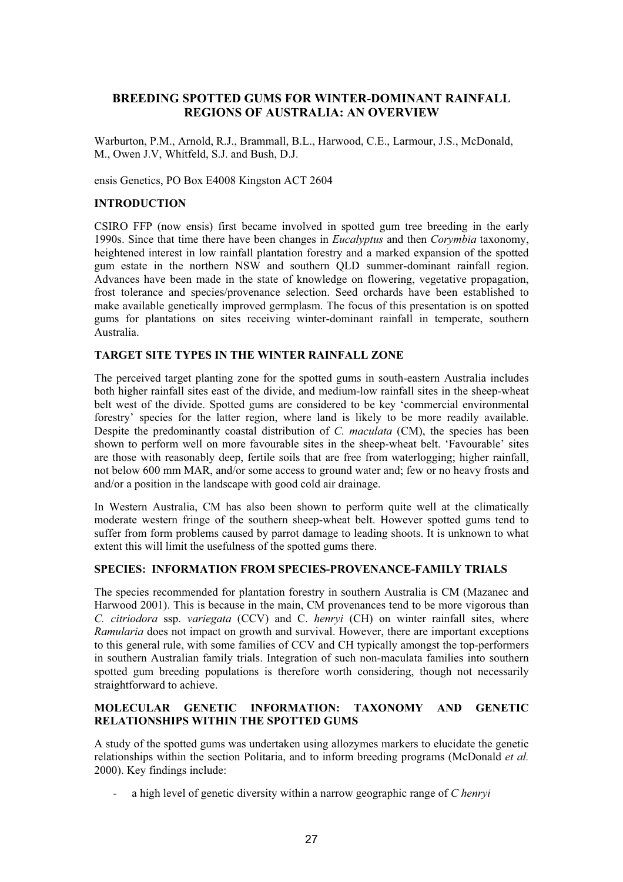## **BREEDING SPOTTED GUMS FOR WINTER-DOMINANT RAINFALL REGIONS OF AUSTRALIA: AN OVERVIEW**

Warburton, P.M., Arnold, R.J., Brammall, B.L., Harwood, C.E., Larmour, J.S., McDonald, M., Owen J.V, Whitfeld, S.J. and Bush, D.J.

ensis Genetics, PO Box E4008 Kingston ACT 2604

#### **INTRODUCTION**

CSIRO FFP (now ensis) first became involved in spotted gum tree breeding in the early 1990s. Since that time there have been changes in *Eucalyptus* and then *Corymbia* taxonomy, heightened interest in low rainfall plantation forestry and a marked expansion of the spotted gum estate in the northern NSW and southern QLD summer-dominant rainfall region. Advances have been made in the state of knowledge on flowering, vegetative propagation, frost tolerance and species/provenance selection. Seed orchards have been established to make available genetically improved germplasm. The focus of this presentation is on spotted gums for plantations on sites receiving winter-dominant rainfall in temperate, southern Australia.

#### **TARGET SITE TYPES IN THE WINTER RAINFALL ZONE**

The perceived target planting zone for the spotted gums in south-eastern Australia includes both higher rainfall sites east of the divide, and medium-low rainfall sites in the sheep-wheat belt west of the divide. Spotted gums are considered to be key 'commercial environmental forestry' species for the latter region, where land is likely to be more readily available. Despite the predominantly coastal distribution of *C. maculata* (CM), the species has been shown to perform well on more favourable sites in the sheep-wheat belt. 'Favourable' sites are those with reasonably deep, fertile soils that are free from waterlogging; higher rainfall, not below 600 mm MAR, and/or some access to ground water and; few or no heavy frosts and and/or a position in the landscape with good cold air drainage.

In Western Australia, CM has also been shown to perform quite well at the climatically moderate western fringe of the southern sheep-wheat belt. However spotted gums tend to suffer from form problems caused by parrot damage to leading shoots. It is unknown to what extent this will limit the usefulness of the spotted gums there.

#### **SPECIES: INFORMATION FROM SPECIES-PROVENANCE-FAMILY TRIALS**

The species recommended for plantation forestry in southern Australia is CM (Mazanec and Harwood 2001). This is because in the main, CM provenances tend to be more vigorous than *C. citriodora* ssp. *variegata* (CCV) and C. *henryi* (CH) on winter rainfall sites, where *Ramularia* does not impact on growth and survival. However, there are important exceptions to this general rule, with some families of CCV and CH typically amongst the top-performers in southern Australian family trials. Integration of such non-maculata families into southern spotted gum breeding populations is therefore worth considering, though not necessarily straightforward to achieve.

#### **MOLECULAR GENETIC INFORMATION: TAXONOMY AND GENETIC RELATIONSHIPS WITHIN THE SPOTTED GUMS**

A study of the spotted gums was undertaken using allozymes markers to elucidate the genetic relationships within the section Politaria, and to inform breeding programs (McDonald *et al.*  2000). Key findings include:

- a high level of genetic diversity within a narrow geographic range of *C henryi*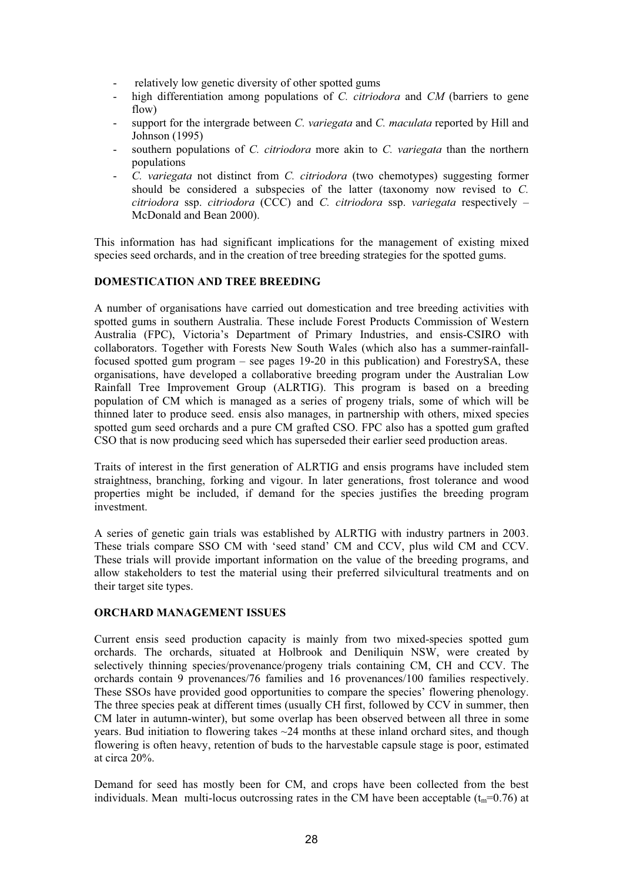- relatively low genetic diversity of other spotted gums
- high differentiation among populations of *C. citriodora* and *CM* (barriers to gene flow)
- support for the intergrade between *C. variegata* and *C. maculata* reported by Hill and Johnson (1995)
- southern populations of *C. citriodora* more akin to *C. variegata* than the northern populations
- *C. variegata* not distinct from *C. citriodora* (two chemotypes) suggesting former should be considered a subspecies of the latter (taxonomy now revised to *C. citriodora* ssp. *citriodora* (CCC) and *C. citriodora* ssp. *variegata* respectively – McDonald and Bean 2000).

This information has had significant implications for the management of existing mixed species seed orchards, and in the creation of tree breeding strategies for the spotted gums.

#### **DOMESTICATION AND TREE BREEDING**

A number of organisations have carried out domestication and tree breeding activities with spotted gums in southern Australia. These include Forest Products Commission of Western Australia (FPC), Victoria's Department of Primary Industries, and ensis-CSIRO with collaborators. Together with Forests New South Wales (which also has a summer-rainfallfocused spotted gum program – see pages 19-20 in this publication) and ForestrySA, these organisations, have developed a collaborative breeding program under the Australian Low Rainfall Tree Improvement Group (ALRTIG). This program is based on a breeding population of CM which is managed as a series of progeny trials, some of which will be thinned later to produce seed. ensis also manages, in partnership with others, mixed species spotted gum seed orchards and a pure CM grafted CSO. FPC also has a spotted gum grafted CSO that is now producing seed which has superseded their earlier seed production areas.

Traits of interest in the first generation of ALRTIG and ensis programs have included stem straightness, branching, forking and vigour. In later generations, frost tolerance and wood properties might be included, if demand for the species justifies the breeding program investment.

A series of genetic gain trials was established by ALRTIG with industry partners in 2003. These trials compare SSO CM with 'seed stand' CM and CCV, plus wild CM and CCV. These trials will provide important information on the value of the breeding programs, and allow stakeholders to test the material using their preferred silvicultural treatments and on their target site types.

#### **ORCHARD MANAGEMENT ISSUES**

Current ensis seed production capacity is mainly from two mixed-species spotted gum orchards. The orchards, situated at Holbrook and Deniliquin NSW, were created by selectively thinning species/provenance/progeny trials containing CM, CH and CCV. The orchards contain 9 provenances/76 families and 16 provenances/100 families respectively. These SSOs have provided good opportunities to compare the species' flowering phenology. The three species peak at different times (usually CH first, followed by CCV in summer, then CM later in autumn-winter), but some overlap has been observed between all three in some years. Bud initiation to flowering takes  $\sim$  24 months at these inland orchard sites, and though flowering is often heavy, retention of buds to the harvestable capsule stage is poor, estimated at circa 20%.

Demand for seed has mostly been for CM, and crops have been collected from the best individuals. Mean multi-locus outcrossing rates in the CM have been acceptable  $(t_m=0.76)$  at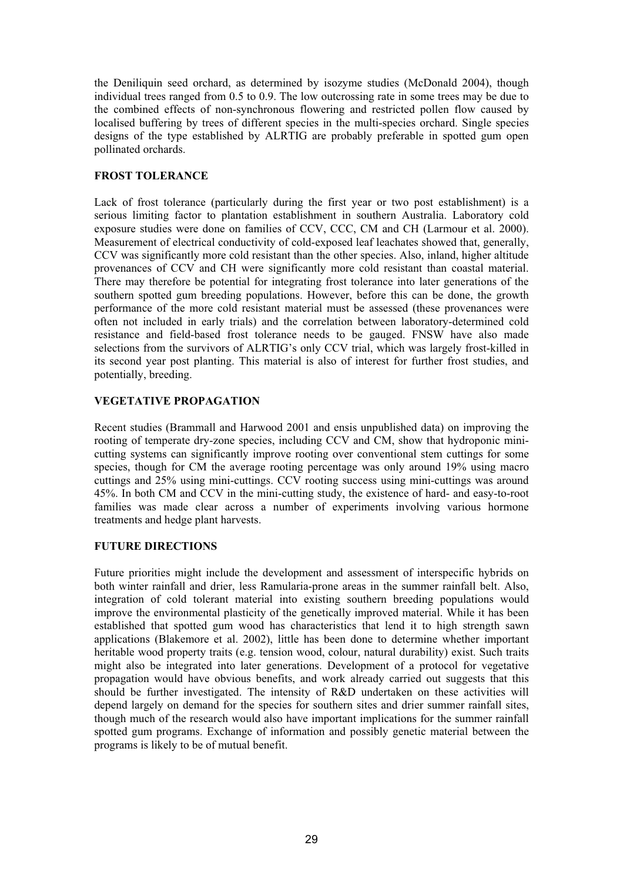the Deniliquin seed orchard, as determined by isozyme studies (McDonald 2004), though individual trees ranged from 0.5 to 0.9. The low outcrossing rate in some trees may be due to the combined effects of non-synchronous flowering and restricted pollen flow caused by localised buffering by trees of different species in the multi-species orchard. Single species designs of the type established by ALRTIG are probably preferable in spotted gum open pollinated orchards.

## **FROST TOLERANCE**

Lack of frost tolerance (particularly during the first year or two post establishment) is a serious limiting factor to plantation establishment in southern Australia. Laboratory cold exposure studies were done on families of CCV, CCC, CM and CH (Larmour et al. 2000). Measurement of electrical conductivity of cold-exposed leaf leachates showed that, generally, CCV was significantly more cold resistant than the other species. Also, inland, higher altitude provenances of CCV and CH were significantly more cold resistant than coastal material. There may therefore be potential for integrating frost tolerance into later generations of the southern spotted gum breeding populations. However, before this can be done, the growth performance of the more cold resistant material must be assessed (these provenances were often not included in early trials) and the correlation between laboratory-determined cold resistance and field-based frost tolerance needs to be gauged. FNSW have also made selections from the survivors of ALRTIG's only CCV trial, which was largely frost-killed in its second year post planting. This material is also of interest for further frost studies, and potentially, breeding.

## **VEGETATIVE PROPAGATION**

Recent studies (Brammall and Harwood 2001 and ensis unpublished data) on improving the rooting of temperate dry-zone species, including CCV and CM, show that hydroponic minicutting systems can significantly improve rooting over conventional stem cuttings for some species, though for CM the average rooting percentage was only around 19% using macro cuttings and 25% using mini-cuttings. CCV rooting success using mini-cuttings was around 45%. In both CM and CCV in the mini-cutting study, the existence of hard- and easy-to-root families was made clear across a number of experiments involving various hormone treatments and hedge plant harvests.

#### **FUTURE DIRECTIONS**

Future priorities might include the development and assessment of interspecific hybrids on both winter rainfall and drier, less Ramularia-prone areas in the summer rainfall belt. Also, integration of cold tolerant material into existing southern breeding populations would improve the environmental plasticity of the genetically improved material. While it has been established that spotted gum wood has characteristics that lend it to high strength sawn applications (Blakemore et al. 2002), little has been done to determine whether important heritable wood property traits (e.g. tension wood, colour, natural durability) exist. Such traits might also be integrated into later generations. Development of a protocol for vegetative propagation would have obvious benefits, and work already carried out suggests that this should be further investigated. The intensity of R&D undertaken on these activities will depend largely on demand for the species for southern sites and drier summer rainfall sites, though much of the research would also have important implications for the summer rainfall spotted gum programs. Exchange of information and possibly genetic material between the programs is likely to be of mutual benefit.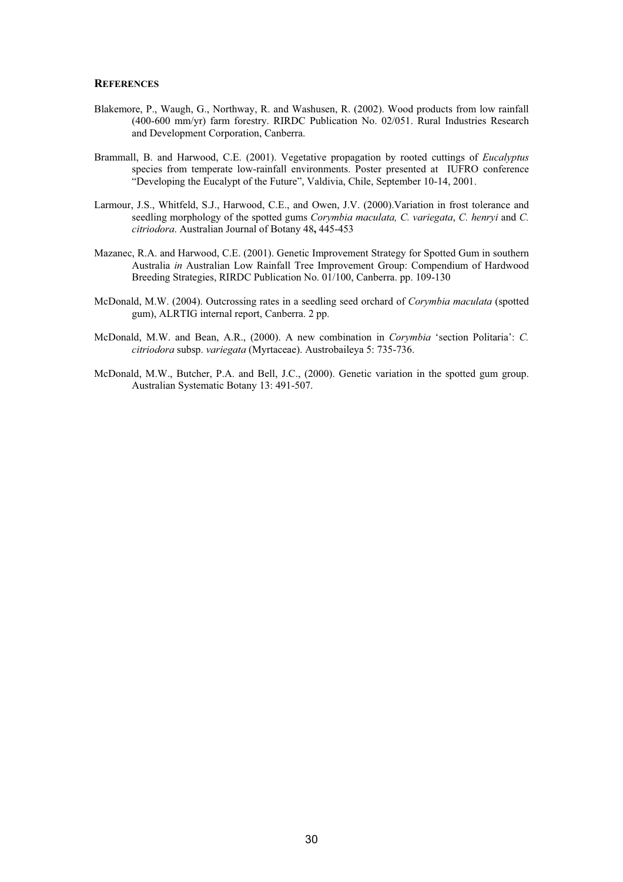#### **REFERENCES**

- Blakemore, P., Waugh, G., Northway, R. and Washusen, R. (2002). Wood products from low rainfall (400-600 mm/yr) farm forestry. RIRDC Publication No. 02/051. Rural Industries Research and Development Corporation, Canberra.
- Brammall, B. and Harwood, C.E. (2001). Vegetative propagation by rooted cuttings of *Eucalyptus* species from temperate low-rainfall environments. Poster presented at IUFRO conference "Developing the Eucalypt of the Future", Valdivia, Chile, September 10-14, 2001.
- Larmour, J.S., Whitfeld, S.J., Harwood, C.E., and Owen, J.V. (2000).Variation in frost tolerance and seedling morphology of the spotted gums *Corymbia maculata, C. variegata*, *C. henryi* and *C. citriodora*. Australian Journal of Botany 48**,** 445-453
- Mazanec, R.A. and Harwood, C.E. (2001). Genetic Improvement Strategy for Spotted Gum in southern Australia *in* Australian Low Rainfall Tree Improvement Group: Compendium of Hardwood Breeding Strategies, RIRDC Publication No. 01/100, Canberra. pp. 109-130
- McDonald, M.W. (2004). Outcrossing rates in a seedling seed orchard of *Corymbia maculata* (spotted gum), ALRTIG internal report, Canberra. 2 pp.
- McDonald, M.W. and Bean, A.R., (2000). A new combination in *Corymbia* 'section Politaria': *C. citriodora* subsp. *variegata* (Myrtaceae). Austrobaileya 5: 735-736.
- McDonald, M.W., Butcher, P.A. and Bell, J.C., (2000). Genetic variation in the spotted gum group. Australian Systematic Botany 13: 491-507.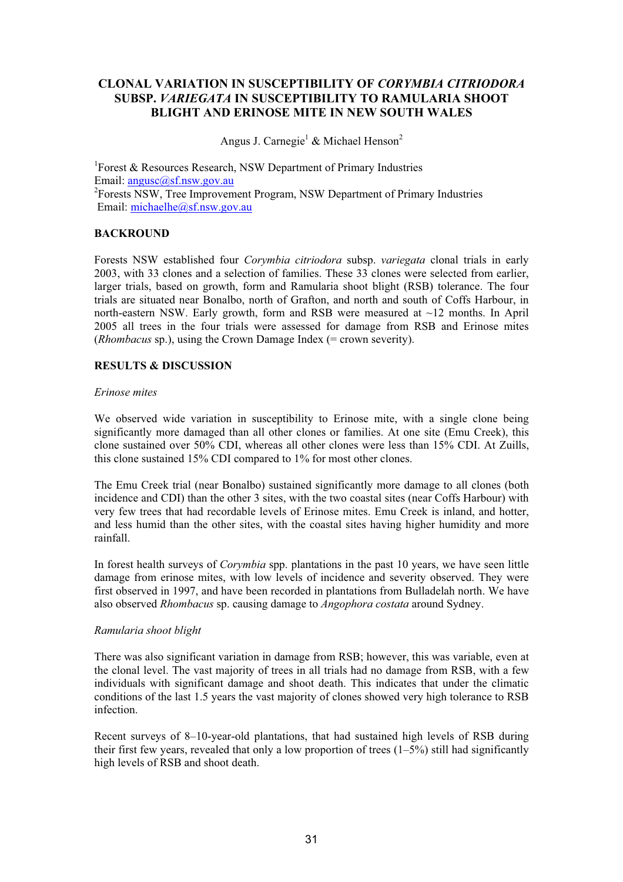## **CLONAL VARIATION IN SUSCEPTIBILITY OF** *CORYMBIA CITRIODORA*  **SUBSP.** *VARIEGATA* **IN SUSCEPTIBILITY TO RAMULARIA SHOOT BLIGHT AND ERINOSE MITE IN NEW SOUTH WALES**

Angus J. Carnegie<sup>1</sup> & Michael Henson<sup>2</sup>

<sup>1</sup>Forest & Resources Research, NSW Department of Primary Industries Email: angusc@sf.nsw.gov.au <sup>2</sup>Forests NSW, Tree Improvement Program, NSW Department of Primary Industries Email: michaelhe@sf.nsw.gov.au

#### **BACKROUND**

Forests NSW established four *Corymbia citriodora* subsp. *variegata* clonal trials in early 2003, with 33 clones and a selection of families. These 33 clones were selected from earlier, larger trials, based on growth, form and Ramularia shoot blight (RSB) tolerance. The four trials are situated near Bonalbo, north of Grafton, and north and south of Coffs Harbour, in north-eastern NSW. Early growth, form and RSB were measured at ~12 months. In April 2005 all trees in the four trials were assessed for damage from RSB and Erinose mites (*Rhombacus* sp.), using the Crown Damage Index (= crown severity).

## **RESULTS & DISCUSSION**

#### *Erinose mites*

We observed wide variation in susceptibility to Erinose mite, with a single clone being significantly more damaged than all other clones or families. At one site (Emu Creek), this clone sustained over 50% CDI, whereas all other clones were less than 15% CDI. At Zuills, this clone sustained 15% CDI compared to 1% for most other clones.

The Emu Creek trial (near Bonalbo) sustained significantly more damage to all clones (both incidence and CDI) than the other 3 sites, with the two coastal sites (near Coffs Harbour) with very few trees that had recordable levels of Erinose mites. Emu Creek is inland, and hotter, and less humid than the other sites, with the coastal sites having higher humidity and more rainfall.

In forest health surveys of *Corymbia* spp. plantations in the past 10 years, we have seen little damage from erinose mites, with low levels of incidence and severity observed. They were first observed in 1997, and have been recorded in plantations from Bulladelah north. We have also observed *Rhombacus* sp. causing damage to *Angophora costata* around Sydney.

#### *Ramularia shoot blight*

There was also significant variation in damage from RSB; however, this was variable, even at the clonal level. The vast majority of trees in all trials had no damage from RSB, with a few individuals with significant damage and shoot death. This indicates that under the climatic conditions of the last 1.5 years the vast majority of clones showed very high tolerance to RSB infection.

Recent surveys of 8–10-year-old plantations, that had sustained high levels of RSB during their first few years, revealed that only a low proportion of trees  $(1-5%)$  still had significantly high levels of RSB and shoot death.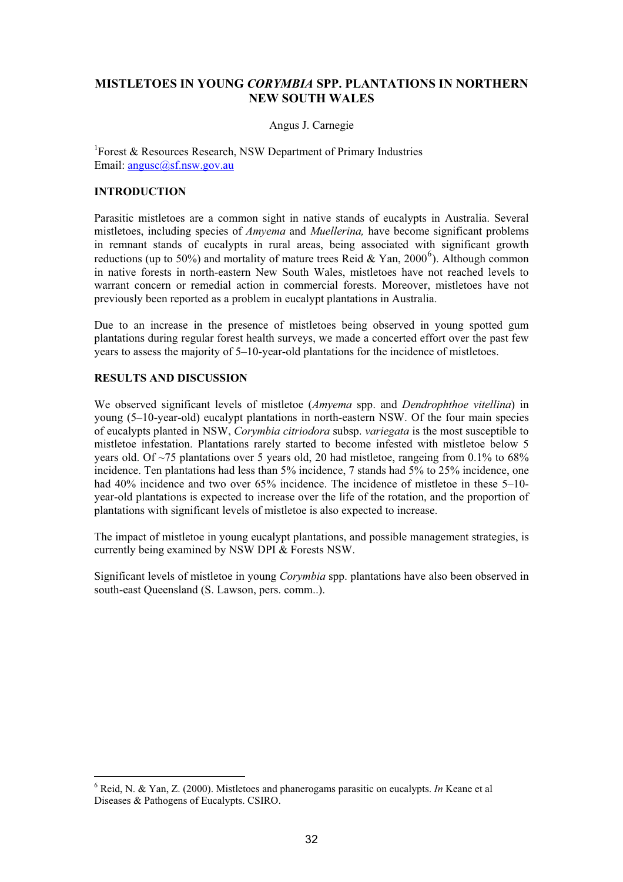## **MISTLETOES IN YOUNG** *CORYMBIA* **SPP. PLANTATIONS IN NORTHERN NEW SOUTH WALES**

#### Angus J. Carnegie

1 Forest & Resources Research, NSW Department of Primary Industries Email: <u>angusc</u>@sf.nsw.gov.au

#### **INTRODUCTION**

Parasitic mistletoes are a common sight in native stands of eucalypts in Australia. Several mistletoes, including species of *Amyema* and *Muellerina,* have become significant problems in remnant stands of eucalypts in rural areas, being associated with significant growth reductions (up to 50%) and mortality of mature trees Reid & Yan, 2000<sup>6</sup>). Although common in native forests in north-eastern New South Wales, mistletoes have not reached levels to warrant concern or remedial action in commercial forests. Moreover, mistletoes have not previously been reported as a problem in eucalypt plantations in Australia.

Due to an increase in the presence of mistletoes being observed in young spotted gum plantations during regular forest health surveys, we made a concerted effort over the past few years to assess the majority of  $5-10$ -year-old plantations for the incidence of mistletoes.

#### **RESULTS AND DISCUSSION**

We observed significant levels of mistletoe (*Amyema* spp. and *Dendrophthoe vitellina*) in young (5–10-year-old) eucalypt plantations in north-eastern NSW. Of the four main species of eucalypts planted in NSW, *Corymbia citriodora* subsp. *variegata* is the most susceptible to mistletoe infestation. Plantations rarely started to become infested with mistletoe below 5 years old. Of ~75 plantations over 5 years old, 20 had mistletoe, rangeing from 0.1% to 68% incidence. Ten plantations had less than 5% incidence, 7 stands had 5% to 25% incidence, one had 40% incidence and two over 65% incidence. The incidence of mistletoe in these 5–10year-old plantations is expected to increase over the life of the rotation, and the proportion of plantations with significant levels of mistletoe is also expected to increase.

The impact of mistletoe in young eucalypt plantations, and possible management strategies, is currently being examined by NSW DPI & Forests NSW.

Significant levels of mistletoe in young *Corymbia* spp. plantations have also been observed in south-east Queensland (S. Lawson, pers. comm..).

<sup>6</sup> Reid, N. & Yan, Z. (2000). Mistletoes and phanerogams parasitic on eucalypts. *In* Keane et al Diseases & Pathogens of Eucalypts. CSIRO.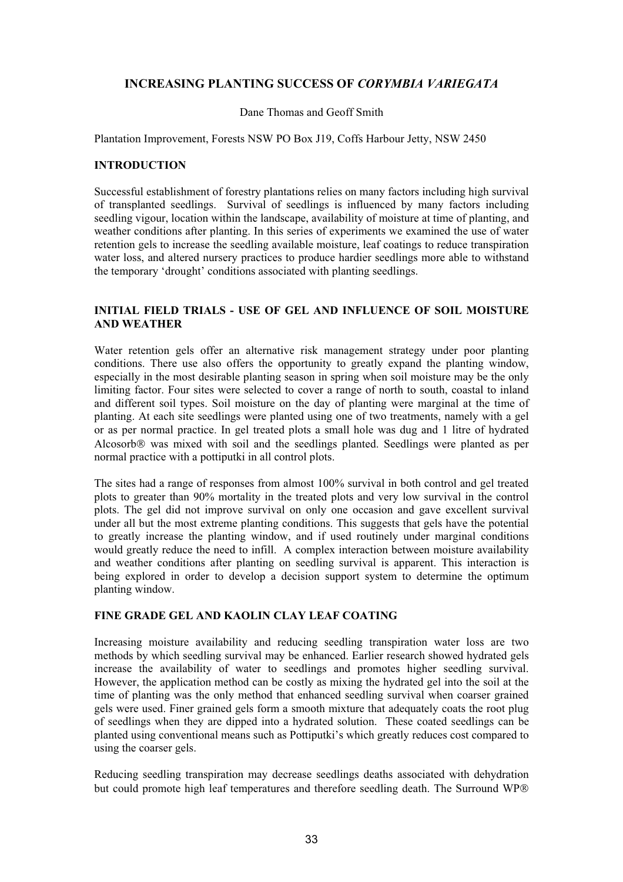## **INCREASING PLANTING SUCCESS OF** *CORYMBIA VARIEGATA*

#### Dane Thomas and Geoff Smith

#### Plantation Improvement, Forests NSW PO Box J19, Coffs Harbour Jetty, NSW 2450

#### **INTRODUCTION**

Successful establishment of forestry plantations relies on many factors including high survival of transplanted seedlings. Survival of seedlings is influenced by many factors including seedling vigour, location within the landscape, availability of moisture at time of planting, and weather conditions after planting. In this series of experiments we examined the use of water retention gels to increase the seedling available moisture, leaf coatings to reduce transpiration water loss, and altered nursery practices to produce hardier seedlings more able to withstand the temporary 'drought' conditions associated with planting seedlings.

#### **INITIAL FIELD TRIALS - USE OF GEL AND INFLUENCE OF SOIL MOISTURE AND WEATHER**

Water retention gels offer an alternative risk management strategy under poor planting conditions. There use also offers the opportunity to greatly expand the planting window, especially in the most desirable planting season in spring when soil moisture may be the only limiting factor. Four sites were selected to cover a range of north to south, coastal to inland and different soil types. Soil moisture on the day of planting were marginal at the time of planting. At each site seedlings were planted using one of two treatments, namely with a gel or as per normal practice. In gel treated plots a small hole was dug and 1 litre of hydrated Alcosorb<sup>®</sup> was mixed with soil and the seedlings planted. Seedlings were planted as per normal practice with a pottiputki in all control plots.

The sites had a range of responses from almost 100% survival in both control and gel treated plots to greater than 90% mortality in the treated plots and very low survival in the control plots. The gel did not improve survival on only one occasion and gave excellent survival under all but the most extreme planting conditions. This suggests that gels have the potential to greatly increase the planting window, and if used routinely under marginal conditions would greatly reduce the need to infill. A complex interaction between moisture availability and weather conditions after planting on seedling survival is apparent. This interaction is being explored in order to develop a decision support system to determine the optimum planting window.

## **FINE GRADE GEL AND KAOLIN CLAY LEAF COATING**

Increasing moisture availability and reducing seedling transpiration water loss are two methods by which seedling survival may be enhanced. Earlier research showed hydrated gels increase the availability of water to seedlings and promotes higher seedling survival. However, the application method can be costly as mixing the hydrated gel into the soil at the time of planting was the only method that enhanced seedling survival when coarser grained gels were used. Finer grained gels form a smooth mixture that adequately coats the root plug of seedlings when they are dipped into a hydrated solution. These coated seedlings can be planted using conventional means such as Pottiputki's which greatly reduces cost compared to using the coarser gels.

Reducing seedling transpiration may decrease seedlings deaths associated with dehydration but could promote high leaf temperatures and therefore seedling death. The Surround WP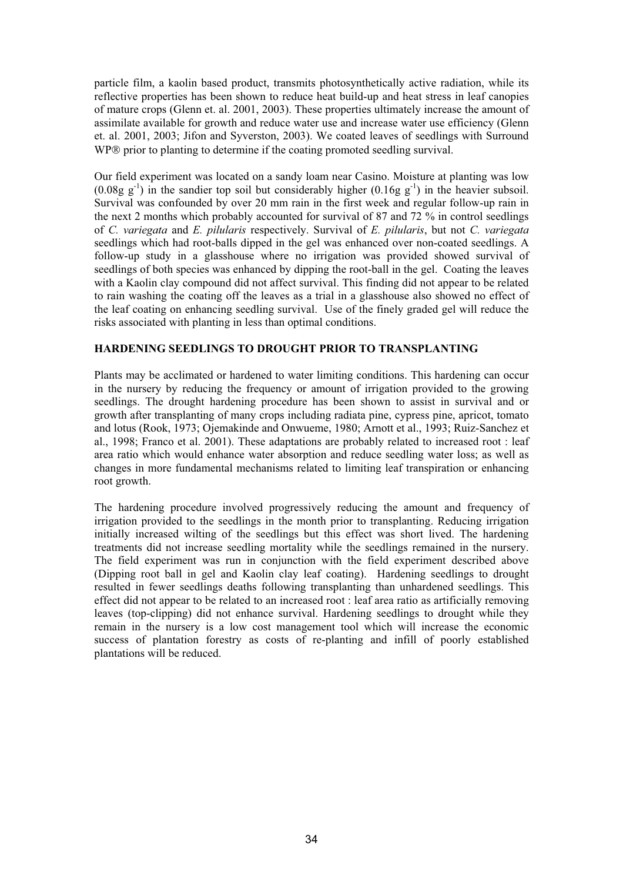particle film, a kaolin based product, transmits photosynthetically active radiation, while its reflective properties has been shown to reduce heat build-up and heat stress in leaf canopies of mature crops (Glenn et. al. 2001, 2003). These properties ultimately increase the amount of assimilate available for growth and reduce water use and increase water use efficiency (Glenn et. al. 2001, 2003; Jifon and Syverston, 2003). We coated leaves of seedlings with Surround WP® prior to planting to determine if the coating promoted seedling survival.

Our field experiment was located on a sandy loam near Casino. Moisture at planting was low  $(0.08g \, g^{-1})$  in the sandier top soil but considerably higher  $(0.16g \, g^{-1})$  in the heavier subsoil. Survival was confounded by over 20 mm rain in the first week and regular follow-up rain in the next 2 months which probably accounted for survival of 87 and 72 % in control seedlings of *C. variegata* and *E. pilularis* respectively. Survival of *E. pilularis*, but not *C. variegata* seedlings which had root-balls dipped in the gel was enhanced over non-coated seedlings. A follow-up study in a glasshouse where no irrigation was provided showed survival of seedlings of both species was enhanced by dipping the root-ball in the gel. Coating the leaves with a Kaolin clay compound did not affect survival. This finding did not appear to be related to rain washing the coating off the leaves as a trial in a glasshouse also showed no effect of the leaf coating on enhancing seedling survival. Use of the finely graded gel will reduce the risks associated with planting in less than optimal conditions.

#### **HARDENING SEEDLINGS TO DROUGHT PRIOR TO TRANSPLANTING**

Plants may be acclimated or hardened to water limiting conditions. This hardening can occur in the nursery by reducing the frequency or amount of irrigation provided to the growing seedlings. The drought hardening procedure has been shown to assist in survival and or growth after transplanting of many crops including radiata pine, cypress pine, apricot, tomato and lotus (Rook, 1973; Ojemakinde and Onwueme, 1980; Arnott et al., 1993; Ruiz-Sanchez et al., 1998; Franco et al. 2001). These adaptations are probably related to increased root : leaf area ratio which would enhance water absorption and reduce seedling water loss; as well as changes in more fundamental mechanisms related to limiting leaf transpiration or enhancing root growth.

The hardening procedure involved progressively reducing the amount and frequency of irrigation provided to the seedlings in the month prior to transplanting. Reducing irrigation initially increased wilting of the seedlings but this effect was short lived. The hardening treatments did not increase seedling mortality while the seedlings remained in the nursery. The field experiment was run in conjunction with the field experiment described above (Dipping root ball in gel and Kaolin clay leaf coating). Hardening seedlings to drought resulted in fewer seedlings deaths following transplanting than unhardened seedlings. This effect did not appear to be related to an increased root : leaf area ratio as artificially removing leaves (top-clipping) did not enhance survival. Hardening seedlings to drought while they remain in the nursery is a low cost management tool which will increase the economic success of plantation forestry as costs of re-planting and infill of poorly established plantations will be reduced.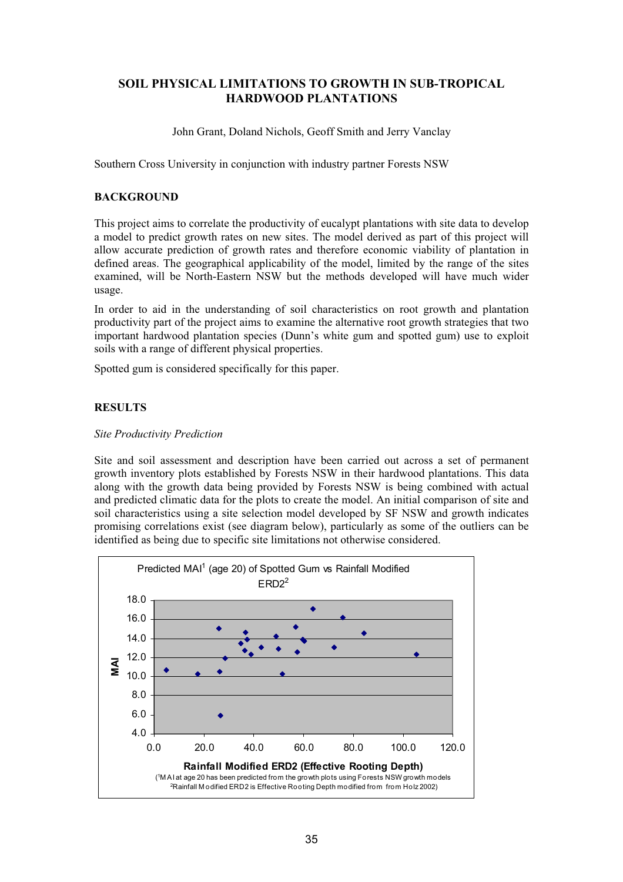## **SOIL PHYSICAL LIMITATIONS TO GROWTH IN SUB-TROPICAL HARDWOOD PLANTATIONS**

John Grant, Doland Nichols, Geoff Smith and Jerry Vanclay

Southern Cross University in conjunction with industry partner Forests NSW

### **BACKGROUND**

This project aims to correlate the productivity of eucalypt plantations with site data to develop a model to predict growth rates on new sites. The model derived as part of this project will allow accurate prediction of growth rates and therefore economic viability of plantation in defined areas. The geographical applicability of the model, limited by the range of the sites examined, will be North-Eastern NSW but the methods developed will have much wider usage.

In order to aid in the understanding of soil characteristics on root growth and plantation productivity part of the project aims to examine the alternative root growth strategies that two important hardwood plantation species (Dunn's white gum and spotted gum) use to exploit soils with a range of different physical properties.

Spotted gum is considered specifically for this paper.

## **RESULTS**

#### *Site Productivity Prediction*

Site and soil assessment and description have been carried out across a set of permanent growth inventory plots established by Forests NSW in their hardwood plantations. This data along with the growth data being provided by Forests NSW is being combined with actual and predicted climatic data for the plots to create the model. An initial comparison of site and soil characteristics using a site selection model developed by SF NSW and growth indicates promising correlations exist (see diagram below), particularly as some of the outliers can be identified as being due to specific site limitations not otherwise considered.

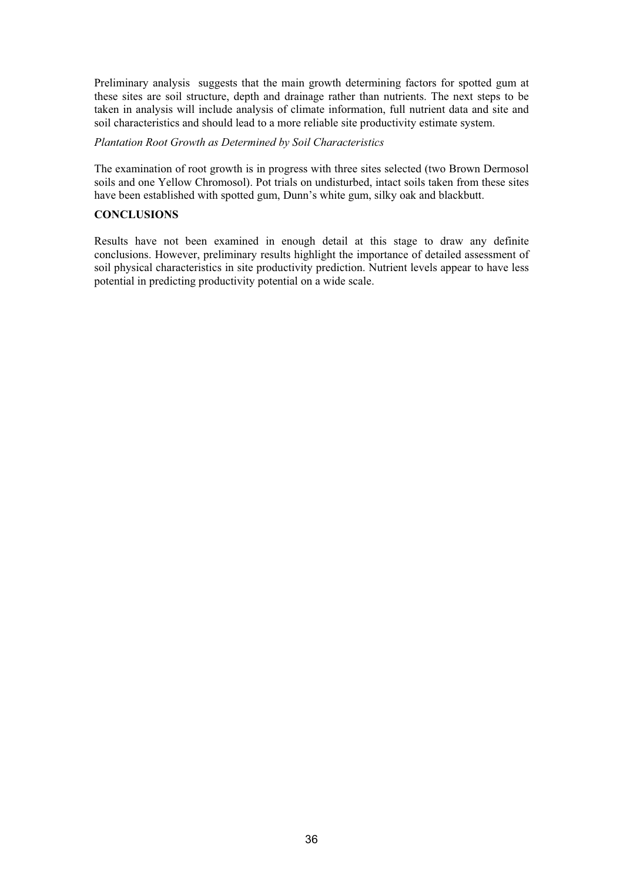Preliminary analysis suggests that the main growth determining factors for spotted gum at these sites are soil structure, depth and drainage rather than nutrients. The next steps to be taken in analysis will include analysis of climate information, full nutrient data and site and soil characteristics and should lead to a more reliable site productivity estimate system.

#### *Plantation Root Growth as Determined by Soil Characteristics*

The examination of root growth is in progress with three sites selected (two Brown Dermosol soils and one Yellow Chromosol). Pot trials on undisturbed, intact soils taken from these sites have been established with spotted gum, Dunn's white gum, silky oak and blackbutt.

#### **CONCLUSIONS**

Results have not been examined in enough detail at this stage to draw any definite conclusions. However, preliminary results highlight the importance of detailed assessment of soil physical characteristics in site productivity prediction. Nutrient levels appear to have less potential in predicting productivity potential on a wide scale.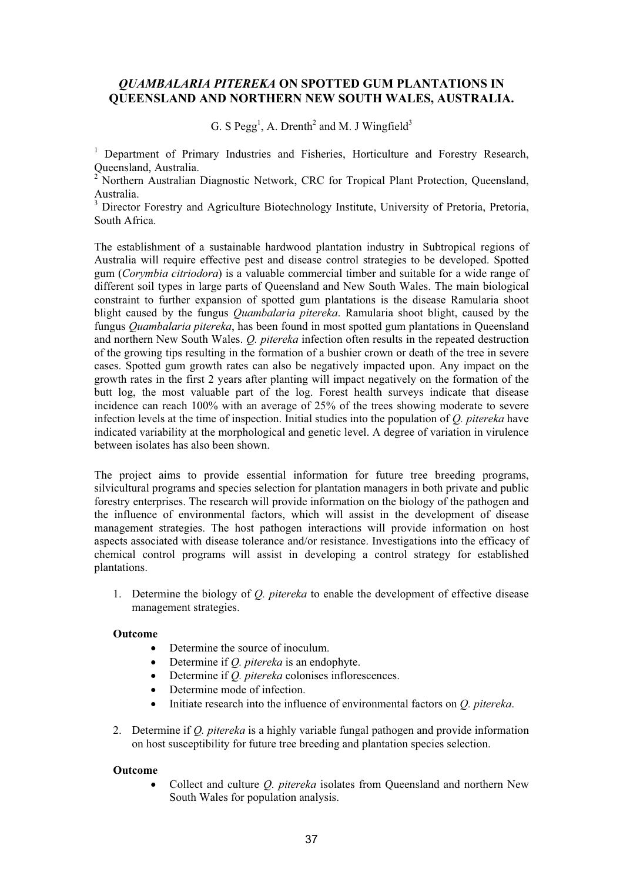## *QUAMBALARIA PITEREKA* **ON SPOTTED GUM PLANTATIONS IN QUEENSLAND AND NORTHERN NEW SOUTH WALES, AUSTRALIA.**

G. S  $\text{Pegg}^1$ , A. Drenth<sup>2</sup> and M. J Wingfield<sup>3</sup>

<sup>1</sup> Department of Primary Industries and Fisheries, Horticulture and Forestry Research, Queensland, Australia.

<sup>2</sup> Northern Australian Diagnostic Network, CRC for Tropical Plant Protection, Queensland, Australia.

<sup>3</sup> Director Forestry and Agriculture Biotechnology Institute, University of Pretoria, Pretoria, South Africa.

The establishment of a sustainable hardwood plantation industry in Subtropical regions of Australia will require effective pest and disease control strategies to be developed. Spotted gum (*Corymbia citriodora*) is a valuable commercial timber and suitable for a wide range of different soil types in large parts of Queensland and New South Wales. The main biological constraint to further expansion of spotted gum plantations is the disease Ramularia shoot blight caused by the fungus *Quambalaria pitereka*. Ramularia shoot blight, caused by the fungus *Quambalaria pitereka*, has been found in most spotted gum plantations in Queensland and northern New South Wales. *Q. pitereka* infection often results in the repeated destruction of the growing tips resulting in the formation of a bushier crown or death of the tree in severe cases. Spotted gum growth rates can also be negatively impacted upon. Any impact on the growth rates in the first 2 years after planting will impact negatively on the formation of the butt log, the most valuable part of the log. Forest health surveys indicate that disease incidence can reach 100% with an average of 25% of the trees showing moderate to severe infection levels at the time of inspection. Initial studies into the population of *Q. pitereka* have indicated variability at the morphological and genetic level. A degree of variation in virulence between isolates has also been shown.

The project aims to provide essential information for future tree breeding programs, silvicultural programs and species selection for plantation managers in both private and public forestry enterprises. The research will provide information on the biology of the pathogen and the influence of environmental factors, which will assist in the development of disease management strategies. The host pathogen interactions will provide information on host aspects associated with disease tolerance and/or resistance. Investigations into the efficacy of chemical control programs will assist in developing a control strategy for established plantations.

1. Determine the biology of *Q. pitereka* to enable the development of effective disease management strategies.

#### **Outcome**

- Determine the source of inoculum.
- x Determine if *Q. pitereka* is an endophyte.
- Determine if *Q. pitereka* colonises inflorescences.
- Determine mode of infection.
- x Initiate research into the influence of environmental factors on *Q. pitereka*.
- 2. Determine if *Q. pitereka* is a highly variable fungal pathogen and provide information on host susceptibility for future tree breeding and plantation species selection.

#### **Outcome**

x Collect and culture *Q. pitereka* isolates from Queensland and northern New South Wales for population analysis.